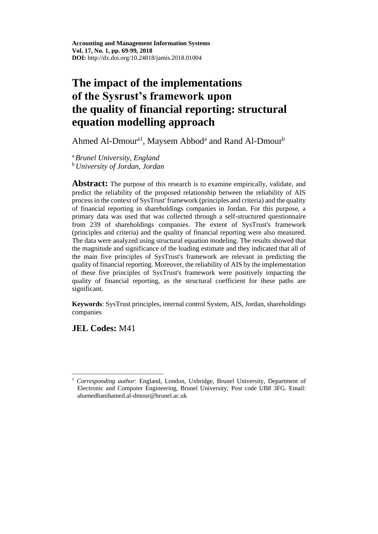Ahmed Al-Dmour<sup>a1</sup>, Maysem Abbod<sup>a</sup> and Rand Al-Dmour<sup>b</sup>

<sup>a</sup>*Brunel University, England* <sup>b</sup>*University of Jordan, Jordan*

**Abstract:** The purpose of this research is to examine empirically, validate, and predict the reliability of the proposed relationship between the reliability of AIS process in the context of SysTrust' framework (principles and criteria) and the quality of financial reporting in shareholdings companies in Jordan. For this purpose, a primary data was used that was collected through a self-structured questionnaire from 239 of shareholdings companies. The extent of SysTrust's framework (principles and criteria) and the quality of financial reporting were also measured. The data were analyzed using structural equation modeling. The results showed that the magnitude and significance of the loading estimate and they indicated that all of the main five principles of SysTrust's framework are relevant in predicting the quality of financial reporting. Moreover, the reliability of AIS by the implementation of these five principles of SysTrust's framework were positively impacting the quality of financial reporting, as the structural coefficient for these paths are significant.

**Keywords**: SysTrust principles, internal control System, AIS, Jordan, shareholdings companies

# **JEL Codes:** M41

 $\overline{a}$ <sup>1</sup> *Corresponding author*: England, London, Uxbridge, Brunel University, Department of Electronic and Computer Engineering, Brunel University; Post code UB8 3FG. Email: [ahamedhanihamed.al-dmour@brunel.ac.uk](mailto:ahamedhanihamed.al-dmour@brunel.ac.uk)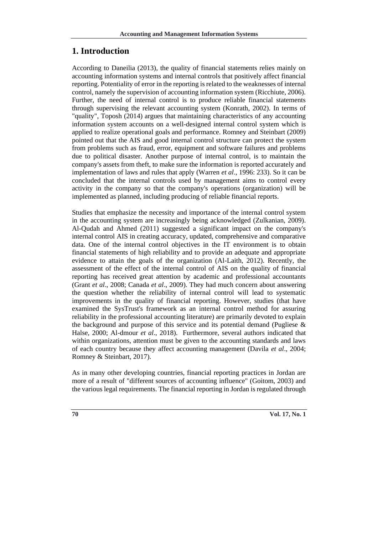### **1. Introduction**

According to Daneilia (2013), the quality of financial statements relies mainly on accounting information systems and internal controls that positively affect financial reporting. Potentiality of error in the reporting is related to the weaknesses of internal control, namely the supervision of accounting information system (Ricchiute, 2006). Further, the need of internal control is to produce reliable financial statements through supervising the relevant accounting system (Konrath, 2002). In terms of "quality", Toposh (2014) argues that maintaining characteristics of any accounting information system accounts on a well-designed internal control system which is applied to realize operational goals and performance. Romney and Steinbart (2009) pointed out that the AIS and good internal control structure can protect the system from problems such as fraud, error, equipment and software failures and problems due to political disaster. Another purpose of internal control, is to maintain the company's assets from theft, to make sure the information is reported accurately and implementation of laws and rules that apply (Warren *et al*., 1996: 233). So it can be concluded that the internal controls used by management aims to control every activity in the company so that the company's operations (organization) will be implemented as planned, including producing of reliable financial reports.

Studies that emphasize the necessity and importance of the internal control system in the accounting system are increasingly being acknowledged (Zulkanian, 2009). Al-Qudah and Ahmed (2011) suggested a significant impact on the company's internal control AIS in creating accuracy, updated, comprehensive and comparative data. One of the internal control objectives in the IT environment is to obtain financial statements of high reliability and to provide an adequate and appropriate evidence to attain the goals of the organization (Al-Laith, 2012). Recently, the assessment of the effect of the internal control of AIS on the quality of financial reporting has received great attention by academic and professional accountants (Grant *et al*., 2008; Canada *et al*., 2009). They had much concern about answering the question whether the reliability of internal control will lead to systematic improvements in the quality of financial reporting. However, studies (that have examined the SysTrust's framework as an internal control method for assuring reliability in the professional accounting literature) are primarily devoted to explain the background and purpose of this service and its potential demand (Pugliese  $\&$ Halse, 2000; Al-dmour *et al*., 2018). Furthermore, several authors indicated that within organizations, attention must be given to the accounting standards and laws of each country because they affect accounting management (Davila *et al*., 2004; Romney & Steinbart, 2017).

As in many other developing countries, financial reporting practices in Jordan are more of a result of "different sources of accounting influence" (Goitom, 2003) and the various legal requirements. The financial reporting in Jordan is regulated through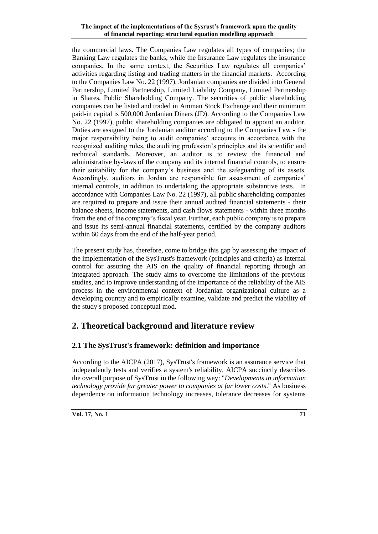the commercial laws. The Companies Law regulates all types of companies; the Banking Law regulates the banks, while the Insurance Law regulates the insurance companies. In the same context, the Securities Law regulates all companies' activities regarding listing and trading matters in the financial markets. According to the Companies Law No. 22 (1997), Jordanian companies are divided into General Partnership, Limited Partnership, Limited Liability Company, Limited Partnership in Shares, Public Shareholding Company. The securities of public shareholding companies can be listed and traded in Amman Stock Exchange and their minimum paid-in capital is 500,000 Jordanian Dinars (JD). According to the Companies Law No. 22 (1997), public shareholding companies are obligated to appoint an auditor. Duties are assigned to the Jordanian auditor according to the Companies Law - the major responsibility being to audit companies' accounts in accordance with the recognized auditing rules, the auditing profession's principles and its scientific and technical standards. Moreover, an auditor is to review the financial and administrative by-laws of the company and its internal financial controls, to ensure their suitability for the company's business and the safeguarding of its assets. Accordingly, auditors in Jordan are responsible for assessment of companies' internal controls, in addition to undertaking the appropriate substantive tests. In accordance with Companies Law No. 22 (1997), all public shareholding companies are required to prepare and issue their annual audited financial statements - their balance sheets, income statements, and cash flows statements - within three months from the end of the company's fiscal year. Further, each public company is to prepare and issue its semi-annual financial statements, certified by the company auditors within 60 days from the end of the half-year period.

The present study has, therefore, come to bridge this gap by assessing the impact of the implementation of the SysTrust's framework (principles and criteria) as internal control for assuring the AIS on the quality of financial reporting through an integrated approach. The study aims to overcome the limitations of the previous studies, and to improve understanding of the importance of the reliability of the AIS process in the environmental context of Jordanian organizational culture as a developing country and to empirically examine, validate and predict the viability of the study's proposed conceptual mod.

# **2. Theoretical background and literature review**

# **2.1 The SysTrust's framework: definition and importance**

According to the AICPA (2017), SysTrust's framework is an assurance service that independently tests and verifies a system's reliability. AICPA succinctly describes the overall purpose of SysTrust in the following way: "*Developments in information technology provide far greater power to companies at far lower costs*." As business dependence on information technology increases, tolerance decreases for systems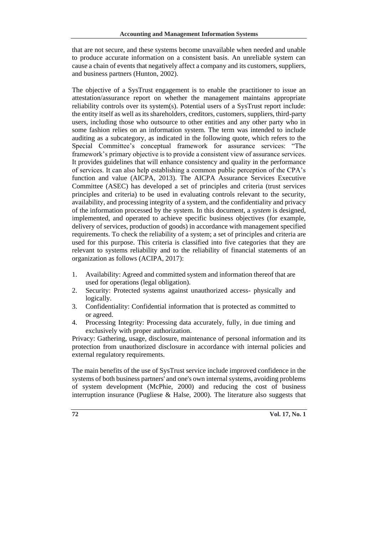that are not secure, and these systems become unavailable when needed and unable to produce accurate information on a consistent basis. An unreliable system can cause a chain of events that negatively affect a company and its customers, suppliers, and business partners (Hunton, 2002).

The objective of a SysTrust engagement is to enable the practitioner to issue an attestation/assurance report on whether the management maintains appropriate reliability controls over its system(s). Potential users of a SysTrust report include: the entity itself as well as its shareholders, creditors, customers, suppliers, third-party users, including those who outsource to other entities and any other party who in some fashion relies on an information system. The term was intended to include auditing as a subcategory, as indicated in the following quote, which refers to the Special Committee's conceptual framework for assurance services: "The framework's primary objective is to provide a consistent view of assurance services. It provides guidelines that will enhance consistency and quality in the performance of services. It can also help establishing a common public perception of the CPA's function and value (AICPA, 2013). The AICPA Assurance Services Executive Committee (ASEC) has developed a set of principles and criteria (trust services principles and criteria) to be used in evaluating controls relevant to the security, availability, and processing integrity of a system, and the confidentiality and privacy of the information processed by the system. In this document, a *system* is designed, implemented, and operated to achieve specific business objectives (for example, delivery of services, production of goods) in accordance with management specified requirements. To check the reliability of a system; a set of principles and criteria are used for this purpose. This criteria is classified into five categories that they are relevant to systems reliability and to the reliability of financial statements of an organization as follows (ACIPA, 2017):

- 1. Availability: Agreed and committed system and information thereof that are used for operations (legal obligation).
- 2. Security: Protected systems against unauthorized access- physically and logically.
- 3. Confidentiality: Confidential information that is protected as committed to or agreed.
- 4. Processing Integrity: Processing data accurately, fully, in due timing and exclusively with proper authorization.

Privacy: Gathering, usage, disclosure, maintenance of personal information and its protection from unauthorized disclosure in accordance with internal policies and external regulatory requirements.

The main benefits of the use of SysTrust service include improved confidence in the systems of both business partners' and one's own internal systems, avoiding problems of system development (McPhie, 2000) and reducing the cost of business interruption insurance (Pugliese & Halse, 2000). The literature also suggests that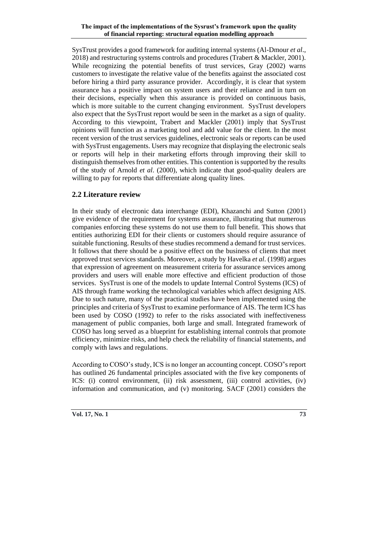SysTrust provides a good framework for auditing internal systems (Al-Dmour *et al*., 2018) and restructuring systems controls and procedures (Trabert & Mackler, 2001). While recognizing the potential benefits of trust services, Gray (2002) warns customers to investigate the relative value of the benefits against the associated cost before hiring a third party assurance provider. Accordingly, it is clear that system assurance has a positive impact on system users and their reliance and in turn on their decisions, especially when this assurance is provided on continuous basis, which is more suitable to the current changing environment. SysTrust developers also expect that the SysTrust report would be seen in the market as a sign of quality. According to this viewpoint, Trabert and Mackler (2001) imply that SysTrust opinions will function as a marketing tool and add value for the client. In the most recent version of the trust services guidelines, electronic seals or reports can be used with SysTrust engagements. Users may recognize that displaying the electronic seals or reports will help in their marketing efforts through improving their skill to distinguish themselves from other entities. This contention is supported by the results of the study of Arnold *et al*. (2000), which indicate that good-quality dealers are willing to pay for reports that differentiate along quality lines.

#### **2.2 Literature review**

In their study of electronic data interchange (EDI), Khazanchi and Sutton (2001) give evidence of the requirement for systems assurance, illustrating that numerous companies enforcing these systems do not use them to full benefit. This shows that entities authorizing EDI for their clients or customers should require assurance of suitable functioning. Results of these studies recommend a demand for trust services. It follows that there should be a positive effect on the business of clients that meet approved trust services standards. Moreover, a study by Havelka *et al*. (1998) argues that expression of agreement on measurement criteria for assurance services among providers and users will enable more effective and efficient production of those services. SysTrust is one of the models to update Internal Control Systems (ICS) of AIS through frame working the technological variables which affect designing AIS. Due to such nature, many of the practical studies have been implemented using the principles and criteria of SysTrust to examine performance of AIS. The term ICS has been used by COSO (1992) to refer to the risks associated with ineffectiveness management of public companies, both large and small. Integrated framework of COSO has long served as a blueprint for establishing internal controls that promote efficiency, minimize risks, and help check the reliability of financial statements, and comply with laws and regulations.

According to COSO's study, ICS is no longer an accounting concept. COSO"s report has outlined 26 fundamental principles associated with the five key components of ICS: (i) control environment, (ii) risk assessment, (iii) control activities, (iv) information and communication, and (v) monitoring. SACF (2001) considers the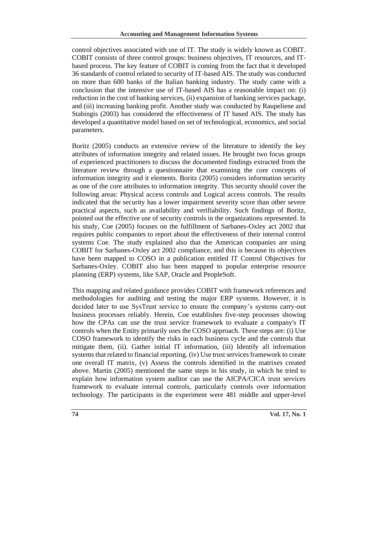control objectives associated with use of IT. The study is widely known as COBIT. COBIT consists of three control groups: business objectives, IT resources, and ITbased process. The key feature of COBIT is coming from the fact that it developed 36 standards of control related to security of IT-based AIS. The study was conducted on more than 600 banks of the Italian banking industry. The study came with a conclusion that the intensive use of IT-based AIS has a reasonable impact on: (i) reduction in the cost of banking services, (ii) expansion of banking services package, and (iii) increasing banking profit. Another study was conducted by Raupeliene and Stabingis (2003) has considered the effectiveness of IT based AIS. The study has developed a quantitative model based on set of technological, economics, and social parameters.

Boritz (2005) conducts an extensive review of the literature to identify the key attributes of information integrity and related issues. He brought two focus groups of experienced practitioners to discuss the documented findings extracted from the literature review through a questionnaire that examining the core concepts of information integrity and it elements. Boritz (2005) considers information security as one of the core attributes to information integrity. This security should cover the following areas: Physical access controls and Logical access controls. The results indicated that the security has a lower impairment severity score than other severe practical aspects, such as availability and verifiability. Such findings of Boritz, pointed out the effective use of security controls in the organizations represented. In his study, Coe (2005) focuses on the fulfillment of Sarbanes-Oxley act 2002 that requires public companies to report about the effectiveness of their internal control systems Coe. The study explained also that the American companies are using COBIT for Sarbanes-Oxley act 2002 compliance, and this is because its objectives have been mapped to COSO in a publication entitled IT Control Objectives for Sarbanes-Oxley. COBIT also has been mapped to popular enterprise resource planning (ERP) systems, like SAP, Oracle and PeopleSoft.

This mapping and related guidance provides COBIT with framework references and methodologies for auditing and testing the major ERP systems. However, it is decided later to use SysTrust service to ensure the company's systems carry-out business processes reliably. Herein, Coe establishes five-step processes showing how the CPAs can use the trust service framework to evaluate a company's IT controls when the Entity primarily uses the COSO approach. These steps are: (i) Use COSO framework to identify the risks in each business cycle and the controls that mitigate them, (ii). Gather initial IT information, (iii) Identify all information systems that related to financial reporting. (iv) Use trust services framework to create one overall IT matrix, (v) Assess the controls identified in the matrixes created above. Martin (2005) mentioned the same steps in his study, in which he tried to explain how information system auditor can use the AICPA/CICA trust services framework to evaluate internal controls, particularly controls over information technology. The participants in the experiment were 481 middle and upper-level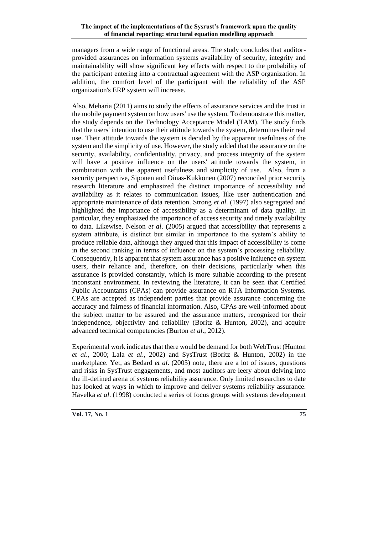managers from a wide range of functional areas. The study concludes that auditorprovided assurances on information systems availability of security, integrity and maintainability will show significant key effects with respect to the probability of the participant entering into a contractual agreement with the ASP organization. In addition, the comfort level of the participant with the reliability of the ASP organization's ERP system will increase.

Also, Meharia (2011) aims to study the effects of assurance services and the trust in the mobile payment system on how users' use the system. To demonstrate this matter, the study depends on the Technology Acceptance Model (TAM). The study finds that the users' intention to use their attitude towards the system, determines their real use. Their attitude towards the system is decided by the apparent usefulness of the system and the simplicity of use. However, the study added that the assurance on the security, availability, confidentiality, privacy, and process integrity of the system will have a positive influence on the users' attitude towards the system, in combination with the apparent usefulness and simplicity of use. Also, from a security perspective, Siponen and Oinas-Kukkonen (2007) reconciled prior security research literature and emphasized the distinct importance of accessibility and availability as it relates to communication issues, like user authentication and appropriate maintenance of data retention. Strong *et al*. (1997) also segregated and highlighted the importance of accessibility as a determinant of data quality. In particular, they emphasized the importance of access security and timely availability to data. Likewise, Nelson *et al*. **(**2005) argued that accessibility that represents a system attribute, is distinct but similar in importance to the system's ability to produce reliable data, although they argued that this impact of accessibility is come in the second ranking in terms of influence on the system's processing reliability. Consequently, it is apparent that system assurance has a positive influence on system users, their reliance and, therefore, on their decisions, particularly when this assurance is provided constantly, which is more suitable according to the present inconstant environment. In reviewing the literature, it can be seen that Certified Public Accountants (CPAs) can provide assurance on RTA Information Systems. CPAs are accepted as independent parties that provide assurance concerning the accuracy and fairness of financial information. Also, CPAs are well-informed about the subject matter to be assured and the assurance matters, recognized for their independence, objectivity and reliability (Boritz & Hunton, 2002), and acquire advanced technical competencies (Burton *et al*., 2012).

Experimental work indicates that there would be demand for both WebTrust (Hunton *et al*., 2000; Lala *et al*., 2002) and SysTrust (Boritz & Hunton, 2002) in the marketplace. Yet, as Bedard *et al*. (2005) note, there are a lot of issues, questions and risks in SysTrust engagements, and most auditors are leery about delving into the ill-defined arena of systems reliability assurance. Only limited researches to date has looked at ways in which to improve and deliver systems reliability assurance. Havelka *et al*. (1998) conducted a series of focus groups with systems development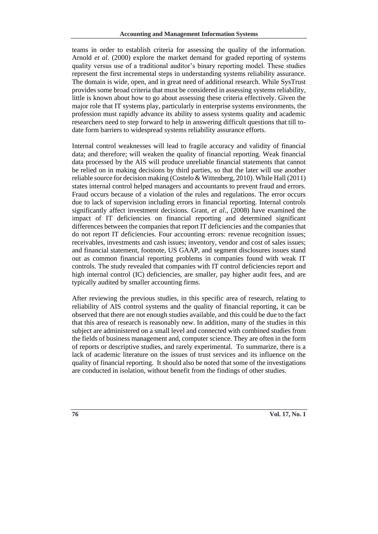teams in order to establish criteria for assessing the quality of the information. Arnold *et al*. (2000) explore the market demand for graded reporting of systems quality versus use of a traditional auditor's binary reporting model. These studies represent the first incremental steps in understanding systems reliability assurance. The domain is wide, open, and in great need of additional research. While SysTrust provides some broad criteria that must be considered in assessing systems reliability, little is known about how to go about assessing these criteria effectively. Given the major role that IT systems play, particularly in enterprise systems environments, the profession must rapidly advance its ability to assess systems quality and academic researchers need to step forward to help in answering difficult questions that till todate form barriers to widespread systems reliability assurance efforts.

Internal control weaknesses will lead to fragile accuracy and validity of financial data; and therefore; will weaken the quality of financial reporting. Weak financial data processed by the AIS will produce unreliable financial statements that cannot be relied on in making decisions by third parties, so that the later will use another reliable source for decision making (Costelo & Wittenberg, 2010). While Hall (2011) states internal control helped managers and accountants to prevent fraud and errors. Fraud occurs because of a violation of the rules and regulations. The error occurs due to lack of supervision including errors in financial reporting. Internal controls significantly affect investment decisions. Grant, *et al*., (2008) have examined the impact of IT deficiencies on financial reporting and determined significant differences between the companies that report IT deficiencies and the companies that do not report IT deficiencies. Four accounting errors: revenue recognition issues; receivables, investments and cash issues; inventory, vendor and cost of sales issues; and financial statement, footnote, US GAAP, and segment disclosures issues stand out as common financial reporting problems in companies found with weak IT controls. The study revealed that companies with IT control deficiencies report and high internal control (IC) deficiencies, are smaller, pay higher audit fees, and are typically audited by smaller accounting firms.

After reviewing the previous studies, in this specific area of research, relating to reliability of AIS control systems and the quality of financial reporting, it can be observed that there are not enough studies available, and this could be due to the fact that this area of research is reasonably new. In addition, many of the studies in this subject are administered on a small level and connected with combined studies from the fields of business management and, computer science. They are often in the form of reports or descriptive studies, and rarely experimental. To summarize, there is a lack of academic literature on the issues of trust services and its influence on the quality of financial reporting. It should also be noted that some of the investigations are conducted in isolation, without benefit from the findings of other studies.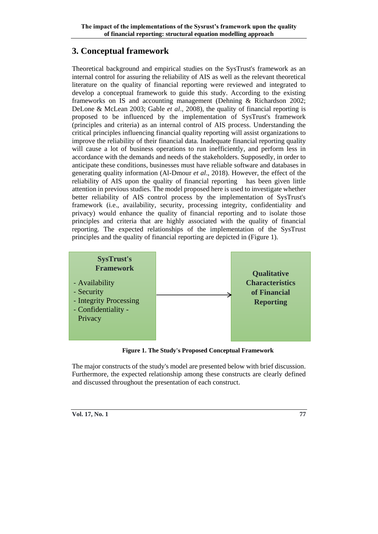# **3. Conceptual framework**

Theoretical background and empirical studies on the SysTrust's framework as an internal control for assuring the reliability of AIS as well as the relevant theoretical literature on the quality of financial reporting were reviewed and integrated to develop a conceptual framework to guide this study. According to the existing frameworks on IS and accounting management (Dehning & Richardson 2002; DeLone & McLean 2003; Gable *et al*., 2008), the quality of financial reporting is proposed to be influenced by the implementation of SysTrust's framework (principles and criteria) as an internal control of AIS process. Understanding the critical principles influencing financial quality reporting will assist organizations to improve the reliability of their financial data. Inadequate financial reporting quality will cause a lot of business operations to run inefficiently, and perform less in accordance with the demands and needs of the stakeholders. Supposedly, in order to anticipate these conditions, businesses must have reliable software and databases in generating quality information (Al-Dmour *et al*., 2018). However, the effect of the reliability of AIS upon the quality of financial reporting has been given little attention in previous studies. The model proposed here is used to investigate whether better reliability of AIS control process by the implementation of SysTrust's framework (i.e., availability, security, processing integrity, confidentiality and privacy) would enhance the quality of financial reporting and to isolate those principles and criteria that are highly associated with the quality of financial reporting. The expected relationships of the implementation of the SysTrust principles and the quality of financial reporting are depicted in (Figure 1).



**Figure 1. The Study's Proposed Conceptual Framework**

The major constructs of the study's model are presented below with brief discussion. Furthermore, the expected relationship among these constructs are clearly defined and discussed throughout the presentation of each construct.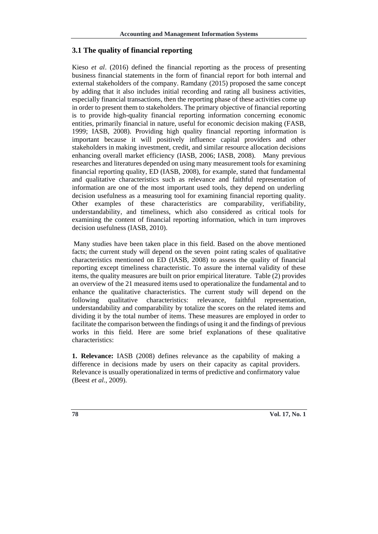#### **3.1 The quality of financial reporting**

Kieso *et al*. (2016) defined the financial reporting as the process of presenting business financial statements in the form of financial report for both internal and external stakeholders of the company. Ramdany (2015) proposed the same concept by adding that it also includes initial recording and rating all business activities, especially financial transactions, then the reporting phase of these activities come up in order to present them to stakeholders. The primary objective of financial reporting is to provide high-quality financial reporting information concerning economic entities, primarily financial in nature, useful for economic decision making (FASB, 1999; IASB, 2008). Providing high quality financial reporting information is important because it will positively influence capital providers and other stakeholders in making investment, credit, and similar resource allocation decisions enhancing overall market efficiency (IASB, 2006; IASB, 2008). Many previous researches and literatures depended on using many measurement tools for examining financial reporting quality, ED (IASB, 2008), for example, stated that fundamental and qualitative characteristics such as relevance and faithful representation of information are one of the most important used tools, they depend on underling decision usefulness as a measuring tool for examining financial reporting quality. Other examples of these characteristics are comparability, verifiability, understandability, and timeliness, which also considered as critical tools for examining the content of financial reporting information, which in turn improves decision usefulness (IASB, 2010).

Many studies have been taken place in this field. Based on the above mentioned facts; the current study will depend on the seven point rating scales of qualitative characteristics mentioned on ED (IASB, 2008) to assess the quality of financial reporting except timeliness characteristic. To assure the internal validity of these items, the quality measures are built on prior empirical literature. Table (2) provides an overview of the 21 measured items used to operationalize the fundamental and to enhance the qualitative characteristics. The current study will depend on the following qualitative characteristics: relevance, faithful representation, understandability and comparability by totalize the scores on the related items and dividing it by the total number of items. These measures are employed in order to facilitate the comparison between the findings of using it and the findings of previous works in this field. Here are some brief explanations of these qualitative characteristics:

**1. Relevance:** IASB (2008) defines relevance as the capability of making a difference in decisions made by users on their capacity as capital providers. Relevance is usually operationalized in terms of predictive and confirmatory value (Beest *et al.*, 2009).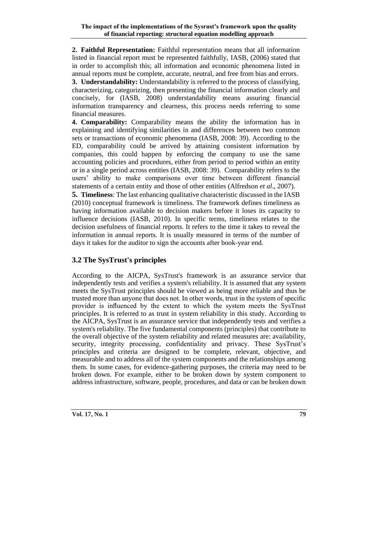**2. Faithful Representation:** Faithful representation means that all information listed in financial report must be represented faithfully, IASB, (2006) stated that in order to accomplish this; all information and economic phenomena listed in annual reports must be complete, accurate, neutral, and free from bias and errors. **3. Understandability:** Understandability is referred to the process of classifying,

characterizing, categorizing, then presenting the financial information clearly and concisely, for (IASB, 2008) understandability means assuring financial information transparency and clearness, this process needs referring to some financial measures.

**4. Comparability:** Comparability means the ability the information has in explaining and identifying similarities in and differences between two common sets or transactions of economic phenomena (IASB, 2008: 39). According to the ED, comparability could be arrived by attaining consistent information by companies, this could happen by enforcing the company to use the same accounting policies and procedures, either from period to period within an entity or in a single period across entities (IASB, 2008: 39). Comparability refers to the users' ability to make comparisons over time between different financial statements of a certain entity and those of other entities (Alfredson *et al*., 2007).

**5. Timeliness**: The last enhancing qualitative characteristic discussed in the IASB (2010) conceptual framework is timeliness. The framework defines timeliness as having information available to decision makers before it loses its capacity to influence decisions (IASB, 2010). In specific terms, timeliness relates to the decision usefulness of financial reports. It refers to the time it takes to reveal the information in annual reports. It is usually measured in terms of the number of days it takes for the auditor to sign the accounts after book-year end.

### **3.2 The SysTrust's principles**

According to the AICPA, SysTrust's framework is an assurance service that independently tests and verifies a system's reliability. It is assumed that any system meets the SysTrust principles should be viewed as being more reliable and thus be trusted more than anyone that does not. In other words, trust in the system of specific provider is influenced by the extent to which the system meets the SysTrust principles. It is referred to as trust in system reliability in this study. According to the AICPA, SysTrust is an assurance service that independently tests and verifies a system's reliability. The five fundamental components (principles) that contribute to the overall objective of the system reliability and related measures are: availability, security, integrity processing, confidentiality and privacy. These SysTrust's principles and criteria are designed to be complete, relevant, objective, and measurable and to address all of the system components and the relationships among them. In some cases, for evidence-gathering purposes, the criteria may need to be broken down. For example, either to be broken down by system component to address infrastructure, software, people, procedures, and data or can be broken down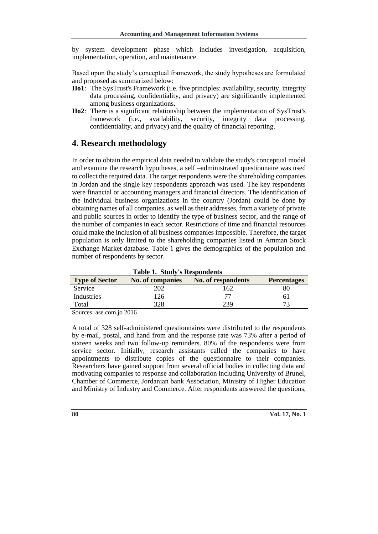by system development phase which includes investigation, acquisition, implementation, operation, and maintenance.

Based upon the study's conceptual framework, the study hypotheses are formulated and proposed as summarized below:

- **Ho1**: The SysTrust's Framework (i.e. five principles: availability, security, integrity data processing, confidentiality, and privacy) are significantly implemented among business organizations.
- **Ho2**: There is a significant relationship between the implementation of SysTrust's framework (i.e., availability, security, integrity data processing, confidentiality, and privacy) and the quality of financial reporting.

### **4. Research methodology**

In order to obtain the empirical data needed to validate the study's conceptual model and examine the research hypotheses, a self –administrated questionnaire was used to collect the required data. The target respondents were the shareholding companies in Jordan and the single key respondents approach was used. The key respondents were financial or accounting managers and financial directors. The identification of the individual business organizations in the country (Jordan) could be done by obtaining names of all companies, as well as their addresses, from a variety of private and public sources in order to identify the type of business sector, and the range of the number of companies in each sector. Restrictions of time and financial resources could make the inclusion of all business companies impossible. Therefore, the target population is only limited to the shareholding companies listed in Amman Stock Exchange Market database. Table 1 gives the demographics of the population and number of respondents by sector.

**Table 1. Study's Respondents Type of Sector No. of companies No. of respondents Percentages**  Service 202 162 80 Industries 126 77 61 Total 328 239 73

Sources: ase.com.jo 2016

A total of 328 self-administered questionnaires were distributed to the respondents by e-mail, postal, and hand from and the response rate was 73% after a period of sixteen weeks and two follow-up reminders. 80% of the respondents were from service sector. Initially, research assistants called the companies to have appointments to distribute copies of the questionnaire to their companies. Researchers have gained support from several official bodies in collecting data and motivating companies to response and collaboration including University of Brunel, Chamber of Commerce, Jordanian bank Association, Ministry of Higher Education and Ministry of Industry and Commerce. After respondents answered the questions,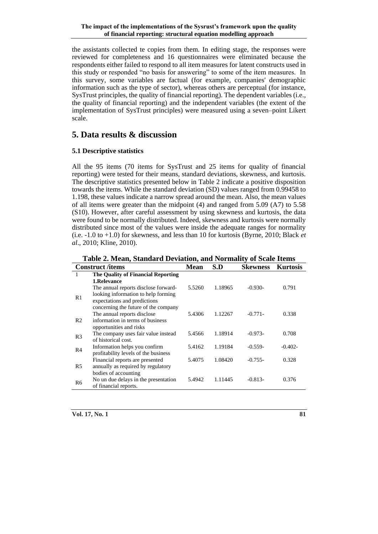the assistants collected te copies from them. In editing stage, the responses were reviewed for completeness and 16 questionnaires were eliminated because the respondents either failed to respond to all item measures for latent constructs used in this study or responded "no basis for answering" to some of the item measures. In this survey, some variables are factual (for example, companies' demographic information such as the type of sector), whereas others are perceptual (for instance, SysTrust principles, the quality of financial reporting). The dependent variables (i.e., the quality of financial reporting) and the independent variables (the extent of the implementation of SysTrust principles) were measured using a seven–point Likert scale.

# **5. Data results & discussion**

#### **5.1 Descriptive statistics**

All the 95 items (70 items for SysTrust and 25 items for quality of financial reporting) were tested for their means, standard deviations, skewness, and kurtosis. The descriptive statistics presented below in Table 2 indicate a positive disposition towards the items. While the standard deviation (SD) values ranged from 0.99458 to 1.198, these values indicate a narrow spread around the mean. Also, the mean values of all items were greater than the midpoint (4) and ranged from 5.09 (A7) to 5.58 (S10). However, after careful assessment by using skewness and kurtosis, the data were found to be normally distributed. Indeed, skewness and kurtosis were normally distributed since most of the values were inside the adequate ranges for normality (i.e. -1.0 to +1.0) for skewness, and less than 10 for kurtosis (Byrne, 2010; Black *et al*., 2010; Kline, 2010).

**Construct /items Mean S.D Skewness Kurtosis** 1 **The Quality of Financial Reporting 1.Relevance** R1 The annual reports disclose forwardlooking information to help forming expectations and predictions concerning the future of the company 5.5260 1.18965 -0.930- 0.791 R2 The annual reports disclose information in terms of business opportunities and risks 5.4306 1.12267 -0.771- 0.338 R3 The company uses fair value instead of historical cost. 5.4566 1.18914 -0.973- 0.708 R4 Information helps you confirm profitability levels of the business 5.4162 1.19184 -0.559- -0.402- R5 Financial reports are presented annually as required by regulatory bodies of accounting 5.4075 1.08420 -0.755- 0.328  $R6$  No un due delays in the presentation of financial reports. 5.4942 1.11445 -0.813- 0.376

**Table 2. Mean, Standard Deviation, and Normality of Scale Items**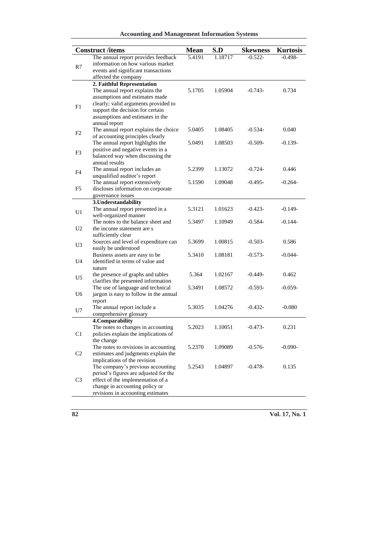### **Accounting and Management Information Systems**

| <b>Construct /items</b> |                                                                     | <b>Mean</b>         | S.D     | <b>Skewness</b> | <b>Kurtosis</b> |
|-------------------------|---------------------------------------------------------------------|---------------------|---------|-----------------|-----------------|
|                         | The annual report provides feedback                                 | $\overline{5.4191}$ | 1.18717 | $-0.522-$       | $-0.498-$       |
| R7                      | information on how various market                                   |                     |         |                 |                 |
|                         | events and significant transactions                                 |                     |         |                 |                 |
|                         | affected the company                                                |                     |         |                 |                 |
|                         | 2. Faithful Representation                                          |                     |         |                 |                 |
|                         | The annual report explains the                                      | 5.1705              | 1.05904 | $-0.743-$       | 0.734           |
|                         | assumptions and estimates made                                      |                     |         |                 |                 |
| F1                      | clearly; valid arguments provided to                                |                     |         |                 |                 |
|                         | support the decision for certain                                    |                     |         |                 |                 |
|                         | assumptions and estimates in the                                    |                     |         |                 |                 |
|                         | annual report                                                       |                     |         |                 |                 |
| F <sub>2</sub>          | The annual report explains the choice                               | 5.0405              | 1.08405 | $-0.534-$       | 0.040           |
|                         | of accounting principles clearly                                    |                     |         |                 |                 |
|                         | The annual report highlights the                                    | 5.0491              | 1.08503 | $-0.509-$       | $-0.139-$       |
| F3                      | positive and negative events in a                                   |                     |         |                 |                 |
|                         | balanced way when discussing the                                    |                     |         |                 |                 |
|                         | annual results                                                      |                     |         |                 |                 |
| F4                      | The annual report includes an                                       | 5.2399              | 1.13072 | $-0.724-$       | 0.446           |
|                         | unqualified auditor's report                                        |                     |         |                 |                 |
|                         | The annual report extensively<br>discloses information on corporate | 5.1590              | 1.09048 | $-0.495-$       | $-0.264-$       |
| F5                      |                                                                     |                     |         |                 |                 |
|                         | governance issues<br>3. Understandability                           |                     |         |                 |                 |
| U1                      | The annual report presented in a                                    | 5.3121              | 1.01623 | $-0.423-$       | $-0.149-$       |
|                         | well-organized manner                                               |                     |         |                 |                 |
|                         | The notes to the balance sheet and                                  | 5.3497              | 1.10949 | $-0.584-$       | $-0.144-$       |
| U <sub>2</sub>          | the income statement are s                                          |                     |         |                 |                 |
|                         | sufficiently clear                                                  |                     |         |                 |                 |
|                         | Sources and level of expenditure can                                | 5.3699              | 1.00815 | $-0.503-$       | 0.586           |
| U3                      | easily be understood                                                |                     |         |                 |                 |
|                         | Business assets are easy to be                                      | 5.3410              | 1.08181 | $-0.573-$       | $-0.044-$       |
| U4                      | identified in terms of value and                                    |                     |         |                 |                 |
|                         | nature                                                              |                     |         |                 |                 |
|                         | the presence of graphs and tables                                   | 5.364               | 1.02167 | $-0.449-$       | 0.462           |
| U5                      | clarifies the presented information                                 |                     |         |                 |                 |
|                         | The use of language and technical                                   | 5.3491              | 1.08572 | $-0.593-$       | $-0.059-$       |
| U <sub>6</sub>          | jargon is easy to follow in the annual                              |                     |         |                 |                 |
|                         | report                                                              |                     |         |                 |                 |
| U7                      | The annual report include a                                         | 5.3035              | 1.04276 | $-0.432-$       | $-0.080$        |
|                         | comprehensive glossary                                              |                     |         |                 |                 |
|                         | 4. Comparability                                                    |                     |         |                 |                 |
|                         | The notes to changes in accounting                                  | 5.2023              | 1.10051 | $-0.473-$       | 0.231           |
| C <sub>1</sub>          | policies explain the implications of                                |                     |         |                 |                 |
|                         | the change                                                          |                     |         |                 |                 |
|                         | The notes to revisions in accounting                                | 5.2370              | 1.09089 | $-0.576-$       | $-0.090-$       |
| C <sub>2</sub>          | estimates and judgments explain the                                 |                     |         |                 |                 |
|                         | implications of the revision                                        |                     |         |                 |                 |
|                         | The company's previous accounting                                   | 5.2543              | 1.04897 | $-0.478-$       | 0.135           |
|                         | period's figures are adjusted for the                               |                     |         |                 |                 |
| C <sub>3</sub>          | effect of the implementation of a                                   |                     |         |                 |                 |
|                         | change in accounting policy or                                      |                     |         |                 |                 |
|                         | revisions in accounting estimates                                   |                     |         |                 |                 |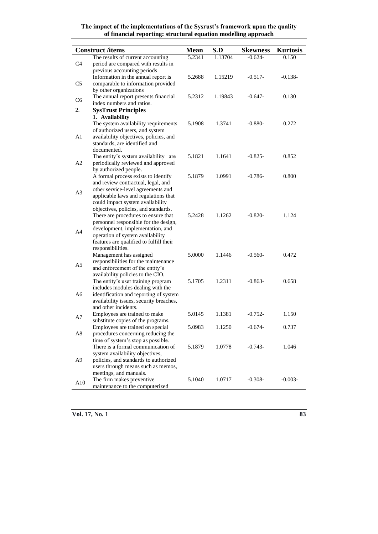|                | <b>Construct</b> /items                                                     | <b>Mean</b> | S.D     | <b>Skewness</b> | <b>Kurtosis</b> |
|----------------|-----------------------------------------------------------------------------|-------------|---------|-----------------|-----------------|
|                | The results of current accounting                                           | 5.2341      | 1.13704 | $-0.624-$       | 0.150           |
| C4             | period are compared with results in                                         |             |         |                 |                 |
|                | previous accounting periods                                                 |             |         |                 |                 |
|                | Information in the annual report is                                         | 5.2688      | 1.15219 | $-0.517-$       | $-0.138-$       |
| C5             | comparable to information provided                                          |             |         |                 |                 |
|                | by other organizations                                                      |             |         |                 |                 |
| C6             | The annual report presents financial                                        | 5.2312      | 1.19843 | $-0.647-$       | 0.130           |
|                | index numbers and ratios.                                                   |             |         |                 |                 |
| 2.             | <b>SysTrust Principles</b>                                                  |             |         |                 |                 |
|                | 1. Availability                                                             |             |         |                 |                 |
|                | The system availability requirements                                        | 5.1908      | 1.3741  | $-0.880-$       | 0.272           |
|                | of authorized users, and system                                             |             |         |                 |                 |
| A1             | availability objectives, policies, and                                      |             |         |                 |                 |
|                | standards, are identified and                                               |             |         |                 |                 |
|                | documented.                                                                 |             |         |                 |                 |
| A2             | The entity's system availability are<br>periodically reviewed and approved  | 5.1821      | 1.1641  | $-0.825-$       | 0.852           |
|                | by authorized people.                                                       |             |         |                 |                 |
|                | A formal process exists to identify                                         | 5.1879      | 1.0991  | $-0.786-$       | 0.800           |
|                | and review contractual, legal, and                                          |             |         |                 |                 |
|                | other service-level agreements and                                          |             |         |                 |                 |
| A3             | applicable laws and regulations that                                        |             |         |                 |                 |
|                | could impact system availability                                            |             |         |                 |                 |
|                | objectives, policies, and standards.                                        |             |         |                 |                 |
|                | There are procedures to ensure that                                         | 5.2428      | 1.1262  | $-0.820-$       | 1.124           |
|                | personnel responsible for the design,                                       |             |         |                 |                 |
| A4             | development, implementation, and                                            |             |         |                 |                 |
|                | operation of system availability                                            |             |         |                 |                 |
|                | features are qualified to fulfill their                                     |             |         |                 |                 |
|                | responsibilities.                                                           |             |         |                 |                 |
|                | Management has assigned                                                     | 5.0000      | 1.1446  | $-0.560-$       | 0.472           |
| A5             | responsibilities for the maintenance<br>and enforcement of the entity's     |             |         |                 |                 |
|                | availability policies to the CIO.                                           |             |         |                 |                 |
|                | The entity's user training program                                          | 5.1705      | 1.2311  | $-0.863-$       | 0.658           |
|                | includes modules dealing with the                                           |             |         |                 |                 |
| A6             | identification and reporting of system                                      |             |         |                 |                 |
|                | availability issues, security breaches,                                     |             |         |                 |                 |
|                | and other incidents.                                                        |             |         |                 |                 |
| A7             | Employees are trained to make                                               | 5.0145      | 1.1381  | $-0.752-$       | 1.150           |
|                | substitute copies of the programs.                                          |             |         |                 |                 |
|                | Employees are trained on special                                            | 5.0983      | 1.1250  | $-0.674-$       | 0.737           |
| A8             | procedures concerning reducing the                                          |             |         |                 |                 |
|                | time of system's stop as possible.                                          |             |         |                 |                 |
|                | There is a formal communication of                                          | 5.1879      | 1.0778  | $-0.743-$       | 1.046           |
|                | system availability objectives,                                             |             |         |                 |                 |
| A <sub>9</sub> | policies, and standards to authorized<br>users through means such as memos, |             |         |                 |                 |
|                | meetings, and manuals.                                                      |             |         |                 |                 |
|                | The firm makes preventive                                                   | 5.1040      | 1.0717  | $-0.308-$       | $-0.003-$       |
| A10            | maintenance to the computerized                                             |             |         |                 |                 |
|                |                                                                             |             |         |                 |                 |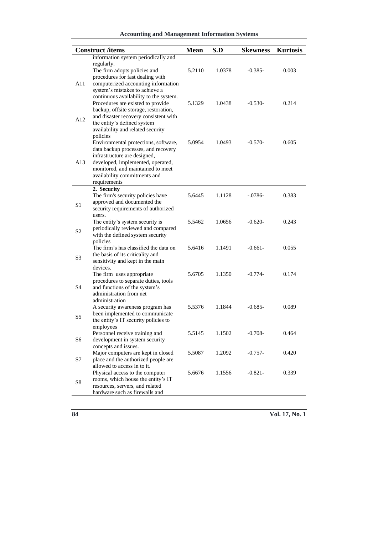### **Accounting and Management Information Systems**

|                | <b>Construct /items</b>                                                                                                                                                                                                                       | <b>Mean</b> | S.D    | <b>Skewness</b> | <b>Kurtosis</b> |
|----------------|-----------------------------------------------------------------------------------------------------------------------------------------------------------------------------------------------------------------------------------------------|-------------|--------|-----------------|-----------------|
|                | information system periodically and<br>regularly.                                                                                                                                                                                             |             |        |                 |                 |
| A11            | The firm adopts policies and<br>procedures for fast dealing with<br>computerized accounting information<br>system's mistakes to achieve a                                                                                                     | 5.2110      | 1.0378 | $-0.385-$       | 0.003           |
| A12            | continuous availability to the system.<br>Procedures are existed to provide<br>backup, offsite storage, restoration,<br>and disaster recovery consistent with<br>the entity's defined system<br>availability and related security<br>policies | 5.1329      | 1.0438 | $-0.530-$       | 0.214           |
| A13            | Environmental protections, software,<br>data backup processes, and recovery<br>infrastructure are designed,<br>developed, implemented, operated,<br>monitored, and maintained to meet<br>availability commitments and<br>requirements         | 5.0954      | 1.0493 | $-0.570-$       | 0.605           |
|                | 2. Security                                                                                                                                                                                                                                   |             |        |                 |                 |
| S1             | The firm's security policies have<br>approved and documented the<br>security requirements of authorized<br>users.                                                                                                                             | 5.6445      | 1.1128 | $-.0786-$       | 0.383           |
| S <sub>2</sub> | The entity's system security is<br>periodically reviewed and compared<br>with the defined system security<br>policies                                                                                                                         | 5.5462      | 1.0656 | $-0.620-$       | 0.243           |
| S <sub>3</sub> | The firm's has classified the data on<br>the basis of its criticality and<br>sensitivity and kept in the main<br>devices.                                                                                                                     | 5.6416      | 1.1491 | $-0.661-$       | 0.055           |
| S <sub>4</sub> | The firm uses appropriate<br>procedures to separate duties, tools<br>and functions of the system's<br>administration from net<br>administration                                                                                               | 5.6705      | 1.1350 | $-0.774-$       | 0.174           |
| S5             | A security awareness program has<br>been implemented to communicate<br>the entity's IT security policies to<br>employees                                                                                                                      | 5.5376      | 1.1844 | $-0.685-$       | 0.089           |
| S <sub>6</sub> | Personnel receive training and<br>development in system security<br>concepts and issues.                                                                                                                                                      | 5.5145      | 1.1502 | $-0.708-$       | 0.464           |
| S7             | Major computers are kept in closed<br>place and the authorized people are<br>allowed to access in to it.                                                                                                                                      | 5.5087      | 1.2092 | $-0.757-$       | 0.420           |
| S <sub>8</sub> | Physical access to the computer<br>rooms, which house the entity's IT<br>resources, servers, and related<br>hardware such as firewalls and                                                                                                    | 5.6676      | 1.1556 | $-0.821-$       | 0.339           |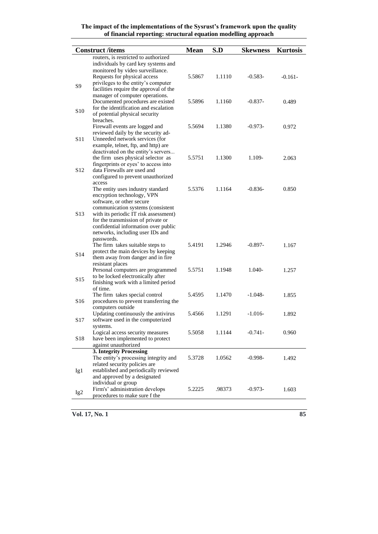|                 | <b>Construct /items</b>                                                | <b>Mean</b> | S.D    | <b>Skewness</b> | <b>Kurtosis</b> |
|-----------------|------------------------------------------------------------------------|-------------|--------|-----------------|-----------------|
|                 | routers, is restricted to authorized                                   |             |        |                 |                 |
|                 | individuals by card key systems and                                    |             |        |                 |                 |
|                 | monitored by video surveillance.                                       |             |        |                 |                 |
|                 | Requests for physical access                                           | 5.5867      | 1.1110 | $-0.583-$       | $-0.161-$       |
| S9              | privileges to the entity's computer                                    |             |        |                 |                 |
|                 | facilities require the approval of the                                 |             |        |                 |                 |
|                 | manager of computer operations.                                        |             |        |                 |                 |
|                 | Documented procedures are existed                                      | 5.5896      | 1.1160 | $-0.837-$       | 0.489           |
| S <sub>10</sub> | for the identification and escalation                                  |             |        |                 |                 |
|                 | of potential physical security                                         |             |        |                 |                 |
|                 | breaches.                                                              |             |        |                 |                 |
|                 | Firewall events are logged and                                         | 5.5694      | 1.1380 | $-0.973-$       | 0.972           |
|                 | reviewed daily by the security ad-                                     |             |        |                 |                 |
| S11             | Unneeded network services (for                                         |             |        |                 |                 |
|                 | example, telnet, ftp, and http) are                                    |             |        |                 |                 |
|                 | deactivated on the entity's servers                                    |             |        |                 |                 |
|                 | the firm uses physical selector as                                     | 5.5751      | 1.1300 | 1.109-          | 2.063           |
|                 | fingerprints or eyes' to access into                                   |             |        |                 |                 |
| S <sub>12</sub> | data Firewalls are used and                                            |             |        |                 |                 |
|                 | configured to prevent unauthorized<br>access                           |             |        |                 |                 |
|                 |                                                                        | 5.5376      | 1.1164 | $-0.836-$       | 0.850           |
|                 | The entity uses industry standard<br>encryption technology, VPN        |             |        |                 |                 |
|                 | software, or other secure                                              |             |        |                 |                 |
|                 | communication systems (consistent                                      |             |        |                 |                 |
| S13             | with its periodic IT risk assessment)                                  |             |        |                 |                 |
|                 | for the transmission of private or                                     |             |        |                 |                 |
|                 | confidential information over public                                   |             |        |                 |                 |
|                 | networks, including user IDs and                                       |             |        |                 |                 |
|                 | passwords.                                                             |             |        |                 |                 |
|                 | The firm takes suitable steps to                                       | 5.4191      | 1.2946 | $-0.897-$       | 1.167           |
| S <sub>14</sub> | protect the main devices by keeping                                    |             |        |                 |                 |
|                 | them away from danger and in fire                                      |             |        |                 |                 |
|                 | resistant places                                                       |             |        |                 |                 |
|                 | Personal computers are programmed                                      | 5.5751      | 1.1948 | 1.040-          | 1.257           |
| S <sub>15</sub> | to be locked electronically after                                      |             |        |                 |                 |
|                 | finishing work with a limited period                                   |             |        |                 |                 |
|                 | of time.                                                               |             |        |                 |                 |
|                 | The firm takes special control                                         | 5.4595      | 1.1470 | $-1.048-$       | 1.855           |
| S16             | procedures to prevent transferring the                                 |             |        |                 |                 |
|                 | computers outside                                                      |             |        |                 |                 |
|                 | Updating continuously the antivirus                                    | 5.4566      | 1.1291 | $-1.016-$       | 1.892           |
| S17             | software used in the computerized                                      |             |        |                 |                 |
|                 | systems.                                                               |             |        |                 |                 |
|                 | Logical access security measures                                       | 5.5058      | 1.1144 | $-0.741-$       | 0.960           |
| S18             | have been implemented to protect                                       |             |        |                 |                 |
|                 | against unauthorized                                                   |             |        |                 |                 |
|                 | 3. Integrity Processing                                                |             |        |                 |                 |
|                 | The entity's processing integrity and                                  | 5.3728      | 1.0562 | $-0.998-$       | 1.492           |
|                 | related security policies are<br>established and periodically reviewed |             |        |                 |                 |
| Ig1             | and approved by a designated                                           |             |        |                 |                 |
|                 | individual or group                                                    |             |        |                 |                 |
|                 | Firm's' administration develops                                        | 5.2225      | .98373 | $-0.973-$       | 1.603           |
| Ig <sub>2</sub> | procedures to make sure f the                                          |             |        |                 |                 |
|                 |                                                                        |             |        |                 |                 |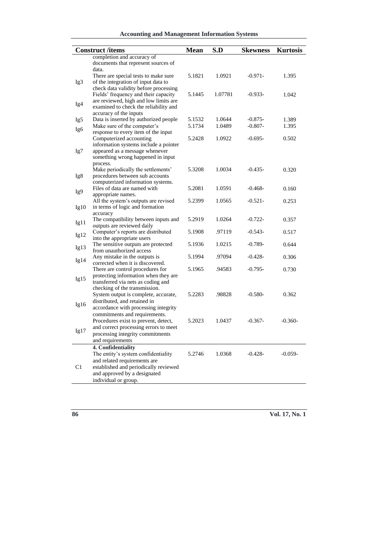### **Accounting and Management Information Systems**

|      | <b>Construct</b> /items                        | <b>Mean</b> | S.D     | <b>Skewness</b> | <b>Kurtosis</b> |
|------|------------------------------------------------|-------------|---------|-----------------|-----------------|
|      | completion and accuracy of                     |             |         |                 |                 |
|      | documents that represent sources of            |             |         |                 |                 |
|      | data.                                          |             |         |                 |                 |
|      | There are special tests to make sure           | 5.1821      | 1.0921  | -0.971-         | 1.395           |
| Ig3  | of the integration of input data to            |             |         |                 |                 |
|      | check data validity before processing          |             |         |                 |                 |
|      | Fields' frequency and their capacity           | 5.1445      | 1.07781 | -0.933-         | 1.042           |
|      | are reviewed, high and low limits are          |             |         |                 |                 |
| Ig4  | examined to check the reliability and          |             |         |                 |                 |
|      | accuracy of the inputs                         |             |         |                 |                 |
| Ig5  | Data is inserted by authorized people          | 5.1532      | 1.0644  | $-0.875-$       | 1.389           |
| Ig6  | Make sure of the computer's                    | 5.1734      | 1.0489  | $-0.807-$       | 1.395           |
|      | response to every item of the input            |             |         |                 |                 |
|      | Computerized accounting                        | 5.2428      | 1.0922  | $-0.695-$       | 0.502           |
|      | information systems include a pointer          |             |         |                 |                 |
| Ig7  | appeared as a message whenever                 |             |         |                 |                 |
|      | something wrong happened in input              |             |         |                 |                 |
|      | process.<br>Make periodically the settlements' | 5.3208      | 1.0034  | $-0.435-$       | 0.320           |
|      | procedures between sub accounts                |             |         |                 |                 |
| Ig8  | computerized information systems.              |             |         |                 |                 |
|      | Files of data are named with                   | 5.2081      | 1.0591  | $-0.468-$       | 0.160           |
| Ig9  | appropriate names.                             |             |         |                 |                 |
|      | All the system's outputs are revised           | 5.2399      | 1.0565  | $-0.521-$       | 0.253           |
| Ig10 | in terms of logic and formation                |             |         |                 |                 |
|      | accuracy                                       |             |         |                 |                 |
|      | The compatibility between inputs and           | 5.2919      | 1.0264  | $-0.722-$       | 0.357           |
| Ig11 | outputs are reviewed daily                     |             |         |                 |                 |
|      | Computer's reports are distributed             | 5.1908      | .97119  | $-0.543-$       | 0.517           |
| Ig12 | into the appropriate users                     |             |         |                 |                 |
| Ig13 | The sensitive outputs are protected            | 5.1936      | 1.0215  | $-0.789-$       | 0.644           |
|      | from unauthorized access                       |             |         |                 |                 |
| Ig14 | Any mistake in the outputs is                  | 5.1994      | .97094  | $-0.428-$       | 0.306           |
|      | corrected when it is discovered.               |             |         |                 |                 |
|      | There are control procedures for               | 5.1965      | .94583  | -0.795-         | 0.730           |
| Ig15 | protecting information when they are           |             |         |                 |                 |
|      | transferred via nets as coding and             |             |         |                 |                 |
|      | checking of the transmission.                  |             |         |                 |                 |
|      | System output is complete, accurate,           | 5.2283      | .98828  | $-0.580-$       | 0.362           |
| Ig16 | distributed, and retained in                   |             |         |                 |                 |
|      | accordance with processing integrity           |             |         |                 |                 |
|      | commitments and requirements.                  |             |         |                 |                 |
|      | Procedures exist to prevent, detect,           | 5.2023      | 1.0437  | $-0.367-$       | $-0.360-$       |
| Ig17 | and correct processing errors to meet          |             |         |                 |                 |
|      | processing integrity commitments               |             |         |                 |                 |
|      | and requirements                               |             |         |                 |                 |
|      | 4. Confidentiality                             |             |         |                 |                 |
|      | The entity's system confidentiality            | 5.2746      | 1.0368  | $-0.428-$       | $-0.059-$       |
|      | and related requirements are                   |             |         |                 |                 |
| C1   | established and periodically reviewed          |             |         |                 |                 |
|      | and approved by a designated                   |             |         |                 |                 |
|      | individual or group.                           |             |         |                 |                 |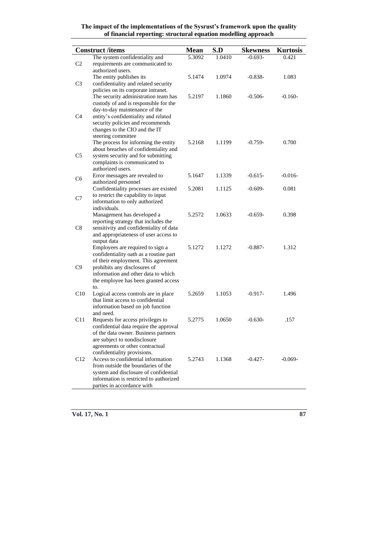|                | <b>Construct</b> /items                                                                                                                                                                                                                                                                                                                                                                  | <b>Mean</b> | S.D    | <b>Skewness</b> | <b>Kurtosis</b> |
|----------------|------------------------------------------------------------------------------------------------------------------------------------------------------------------------------------------------------------------------------------------------------------------------------------------------------------------------------------------------------------------------------------------|-------------|--------|-----------------|-----------------|
|                | The system confidentiality and                                                                                                                                                                                                                                                                                                                                                           | 5.3092      | 1.0410 | $-0.693-$       | 0.421           |
| C <sub>2</sub> | requirements are communicated to                                                                                                                                                                                                                                                                                                                                                         |             |        |                 |                 |
|                | authorized users.                                                                                                                                                                                                                                                                                                                                                                        |             |        |                 |                 |
|                | The entity publishes its                                                                                                                                                                                                                                                                                                                                                                 | 5.1474      | 1.0974 | $-0.838-$       | 1.083           |
| C <sub>3</sub> | confidentiality and related security                                                                                                                                                                                                                                                                                                                                                     |             |        |                 |                 |
|                | policies on its corporate intranet.                                                                                                                                                                                                                                                                                                                                                      |             |        |                 |                 |
|                | The security administration team has                                                                                                                                                                                                                                                                                                                                                     | 5.2197      | 1.1860 | $-0.506-$       | $-0.160-$       |
|                | custody of and is responsible for the                                                                                                                                                                                                                                                                                                                                                    |             |        |                 |                 |
|                | day-to-day maintenance of the                                                                                                                                                                                                                                                                                                                                                            |             |        |                 |                 |
| C4             | entity's confidentiality and related                                                                                                                                                                                                                                                                                                                                                     |             |        |                 |                 |
|                | security policies and recommends                                                                                                                                                                                                                                                                                                                                                         |             |        |                 |                 |
|                | changes to the CIO and the IT                                                                                                                                                                                                                                                                                                                                                            |             |        |                 |                 |
|                | steering committee                                                                                                                                                                                                                                                                                                                                                                       |             |        |                 |                 |
|                | The process for informing the entity                                                                                                                                                                                                                                                                                                                                                     | 5.2168      | 1.1199 | $-0.759-$       | 0.700           |
|                | about breaches of confidentiality and                                                                                                                                                                                                                                                                                                                                                    |             |        |                 |                 |
| C5             | system security and for submitting                                                                                                                                                                                                                                                                                                                                                       |             |        |                 |                 |
|                | complaints is communicated to<br>authorized users.                                                                                                                                                                                                                                                                                                                                       |             |        |                 |                 |
|                | Error messages are revealed to                                                                                                                                                                                                                                                                                                                                                           | 5.1647      | 1.1339 | $-0.615-$       | $-0.016-$       |
| C6             | authorized personnel                                                                                                                                                                                                                                                                                                                                                                     |             |        |                 |                 |
|                | Confidentiality processes are existed                                                                                                                                                                                                                                                                                                                                                    | 5.2081      | 1.1125 | $-0.609-$       | 0.081           |
|                | to restrict the capability to input                                                                                                                                                                                                                                                                                                                                                      |             |        |                 |                 |
| C7             | information to only authorized                                                                                                                                                                                                                                                                                                                                                           |             |        |                 |                 |
|                | individuals.                                                                                                                                                                                                                                                                                                                                                                             |             |        |                 |                 |
|                | Management has developed a                                                                                                                                                                                                                                                                                                                                                               | 5.2572      | 1.0633 | $-0.659-$       | 0.398           |
|                | reporting strategy that includes the                                                                                                                                                                                                                                                                                                                                                     |             |        |                 |                 |
| C8             | sensitivity and confidentiality of data                                                                                                                                                                                                                                                                                                                                                  |             |        |                 |                 |
|                | and appropriateness of user access to                                                                                                                                                                                                                                                                                                                                                    |             |        |                 |                 |
|                | output data                                                                                                                                                                                                                                                                                                                                                                              |             |        |                 |                 |
|                | Employees are required to sign a                                                                                                                                                                                                                                                                                                                                                         | 5.1272      | 1.1272 | $-0.887-$       | 1.312           |
|                | confidentiality oath as a routine part                                                                                                                                                                                                                                                                                                                                                   |             |        |                 |                 |
|                | of their employment. This agreement                                                                                                                                                                                                                                                                                                                                                      |             |        |                 |                 |
| C9             | prohibits any disclosures of<br>information and other data to which                                                                                                                                                                                                                                                                                                                      |             |        |                 |                 |
|                | the employee has been granted access                                                                                                                                                                                                                                                                                                                                                     |             |        |                 |                 |
|                | to.                                                                                                                                                                                                                                                                                                                                                                                      |             |        |                 |                 |
| C10            |                                                                                                                                                                                                                                                                                                                                                                                          | 5.2659      | 1.1053 | $-0.917-$       | 1.496           |
|                | that limit access to confidential                                                                                                                                                                                                                                                                                                                                                        |             |        |                 |                 |
|                | information based on job function                                                                                                                                                                                                                                                                                                                                                        |             |        |                 |                 |
|                | and need.                                                                                                                                                                                                                                                                                                                                                                                |             |        |                 |                 |
| C11            | Requests for access privileges to                                                                                                                                                                                                                                                                                                                                                        | 5.2775      | 1.0650 | $-0.630-$       | .157            |
|                |                                                                                                                                                                                                                                                                                                                                                                                          |             |        |                 |                 |
|                |                                                                                                                                                                                                                                                                                                                                                                                          |             |        |                 |                 |
|                |                                                                                                                                                                                                                                                                                                                                                                                          |             |        |                 |                 |
|                |                                                                                                                                                                                                                                                                                                                                                                                          |             |        |                 |                 |
|                |                                                                                                                                                                                                                                                                                                                                                                                          |             |        |                 |                 |
|                |                                                                                                                                                                                                                                                                                                                                                                                          |             |        |                 |                 |
|                |                                                                                                                                                                                                                                                                                                                                                                                          |             |        |                 |                 |
|                |                                                                                                                                                                                                                                                                                                                                                                                          |             |        |                 |                 |
|                | parties in accordance with                                                                                                                                                                                                                                                                                                                                                               |             |        |                 |                 |
| C12            | Logical access controls are in place<br>confidential data require the approval<br>of the data owner. Business partners<br>are subject to nondisclosure<br>agreements or other contractual<br>confidentiality provisions.<br>Access to confidential information<br>from outside the boundaries of the<br>system and disclosure of confidential<br>information is restricted to authorized | 5.2743      | 1.1368 | $-0.427-$       | $-0.069-$       |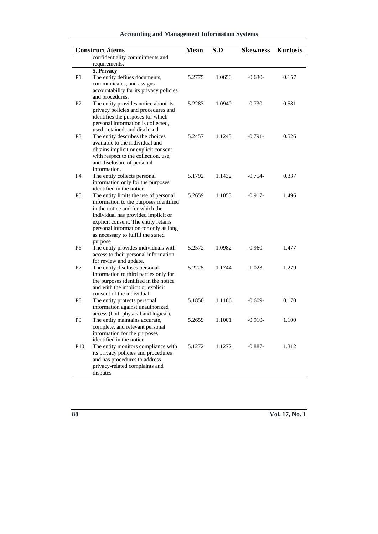### **Accounting and Management Information Systems**

|                 | <b>Construct /items</b>                                                      | <b>Mean</b> | S.D    | <b>Skewness</b> | <b>Kurtosis</b> |
|-----------------|------------------------------------------------------------------------------|-------------|--------|-----------------|-----------------|
|                 | confidentiality commitments and                                              |             |        |                 |                 |
|                 | requirements.                                                                |             |        |                 |                 |
|                 | 5. Privacy                                                                   |             |        |                 |                 |
| P <sub>1</sub>  | The entity defines documents,                                                | 5.2775      | 1.0650 | $-0.630-$       | 0.157           |
|                 | communicates, and assigns                                                    |             |        |                 |                 |
|                 | accountability for its privacy policies                                      |             |        |                 |                 |
|                 | and procedures.                                                              |             |        |                 |                 |
| P <sub>2</sub>  | The entity provides notice about its                                         | 5.2283      | 1.0940 | $-0.730-$       | 0.581           |
|                 | privacy policies and procedures and                                          |             |        |                 |                 |
|                 | identifies the purposes for which                                            |             |        |                 |                 |
|                 | personal information is collected,                                           |             |        |                 |                 |
|                 | used, retained, and disclosed                                                |             |        |                 |                 |
| P3              | The entity describes the choices                                             | 5.2457      | 1.1243 | $-0.791-$       | 0.526           |
|                 | available to the individual and                                              |             |        |                 |                 |
|                 | obtains implicit or explicit consent<br>with respect to the collection, use, |             |        |                 |                 |
|                 | and disclosure of personal                                                   |             |        |                 |                 |
|                 | information.                                                                 |             |        |                 |                 |
| P4              | The entity collects personal                                                 | 5.1792      | 1.1432 | $-0.754-$       | 0.337           |
|                 | information only for the purposes                                            |             |        |                 |                 |
|                 | identified in the notice                                                     |             |        |                 |                 |
| P5              | The entity limits the use of personal                                        | 5.2659      | 1.1053 | $-0.917-$       | 1.496           |
|                 | information to the purposes identified                                       |             |        |                 |                 |
|                 | in the notice and for which the                                              |             |        |                 |                 |
|                 | individual has provided implicit or                                          |             |        |                 |                 |
|                 | explicit consent. The entity retains                                         |             |        |                 |                 |
|                 | personal information for only as long                                        |             |        |                 |                 |
|                 | as necessary to fulfill the stated                                           |             |        |                 |                 |
|                 | purpose                                                                      |             |        |                 |                 |
| P <sub>6</sub>  | The entity provides individuals with                                         | 5.2572      | 1.0982 | $-0.960-$       | 1.477           |
|                 | access to their personal information                                         |             |        |                 |                 |
|                 | for review and update.                                                       | 5.2225      | 1.1744 |                 | 1.279           |
| P7              | The entity discloses personal<br>information to third parties only for       |             |        | $-1.023-$       |                 |
|                 | the purposes identified in the notice                                        |             |        |                 |                 |
|                 | and with the implicit or explicit                                            |             |        |                 |                 |
|                 | consent of the individual                                                    |             |        |                 |                 |
| P <sub>8</sub>  | The entity protects personal                                                 | 5.1850      | 1.1166 | $-0.609-$       | 0.170           |
|                 | information against unauthorized                                             |             |        |                 |                 |
|                 | access (both physical and logical).                                          |             |        |                 |                 |
| P9              | The entity maintains accurate,                                               | 5.2659      | 1.1001 | $-0.910-$       | 1.100           |
|                 | complete, and relevant personal                                              |             |        |                 |                 |
|                 | information for the purposes                                                 |             |        |                 |                 |
|                 | identified in the notice.                                                    |             |        |                 |                 |
| P <sub>10</sub> | The entity monitors compliance with                                          | 5.1272      | 1.1272 | $-0.887-$       | 1.312           |
|                 | its privacy policies and procedures                                          |             |        |                 |                 |
|                 | and has procedures to address                                                |             |        |                 |                 |
|                 | privacy-related complaints and                                               |             |        |                 |                 |
|                 | disputes                                                                     |             |        |                 |                 |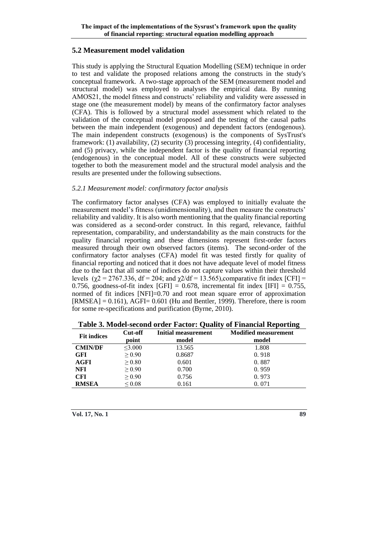#### **5.2 Measurement model validation**

This study is applying the Structural Equation Modelling (SEM) technique in order to test and validate the proposed relations among the constructs in the study's conceptual framework. A two-stage approach of the SEM (measurement model and structural model) was employed to analyses the empirical data. By running AMOS21, the model fitness and constructs' reliability and validity were assessed in stage one (the measurement model) by means of the confirmatory factor analyses (CFA). This is followed by a structural model assessment which related to the validation of the conceptual model proposed and the testing of the causal paths between the main independent (exogenous) and dependent factors (endogenous). The main independent constructs (exogenous) is the components of SysTrust's framework: (1) availability, (2) security (3) processing integrity, (4) confidentiality, and (5) privacy, while the independent factor is the quality of financial reporting (endogenous) in the conceptual model. All of these constructs were subjected together to both the measurement model and the structural model analysis and the results are presented under the following subsections.

#### *5.2.1 Measurement model: confirmatory factor analysis*

The confirmatory factor analyses (CFA) was employed to initially evaluate the measurement model's fitness (unidimensionality), and then measure the constructs' reliability and validity. It is also worth mentioning that the quality financial reporting was considered as a second-order construct. In this regard, relevance, faithful representation, comparability, and understandability as the main constructs for the quality financial reporting and these dimensions represent first-order factors measured through their own observed factors (items). The second-order of the confirmatory factor analyses (CFA) model fit was tested firstly for quality of financial reporting and noticed that it does not have adequate level of model fitness due to the fact that all some of indices do not capture values within their threshold levels ( $\chi$ 2 = 2767.336, df = 204; and  $\chi$ 2/df = 13.565),comparative fit index [CFI] = 0.756, goodness-of-fit index  $[GFI] = 0.678$ , incremental fit index  $[IFI] = 0.755$ , normed of fit indices [NFI]=0.70 and root mean square error of approximation  $[RMSEA] = 0.161$ , AGFI= 0.601 (Hu and Bentler, 1999). Therefore, there is room for some re-specifications and purification (Byrne, 2010).

| <b>Fit indices</b> | Cut-off      | <b>Initial measurement</b> | <b>Modified measurement</b> |
|--------------------|--------------|----------------------------|-----------------------------|
|                    | point        | model                      | model                       |
| <b>CMIN/DF</b>     | $\leq 3.000$ | 13.565                     | 1.808                       |
| GFI                | $\geq 0.90$  | 0.8687                     | 0.918                       |
| AGFI               | $\geq 0.80$  | 0.601                      | 0.887                       |
| NFI                | > 0.90       | 0.700                      | 0.959                       |
| <b>CFI</b>         | > 0.90       | 0.756                      | 0.973                       |
| <b>RMSEA</b>       | ${}_{0.08}$  | 0.161                      | 0.071                       |

**Table 3. Model-second order Factor: Quality of Financial Reporting**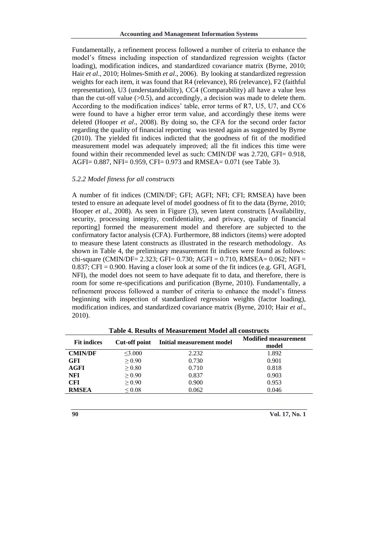Fundamentally, a refinement process followed a number of criteria to enhance the model's fitness including inspection of standardized regression weights (factor loading), modification indices, and standardized covariance matrix (Byrne, 2010; Hair *et al*., 2010; Holmes-Smith *et al*., 2006). By looking at standardized regression weights for each item, it was found that R4 (relevance), R6 (relevance), F2 (faithful representation), U3 (understandability), CC4 (Comparability) all have a value less than the cut-off value  $(0.5)$ , and accordingly, a decision was made to delete them. According to the modification indices' table, error terms of R7, U5, U7, and CC6 were found to have a higher error term value, and accordingly these items were deleted (Hooper *et al*., 2008). By doing so, the CFA for the second order factor regarding the quality of financial reporting was tested again as suggested by Byrne (2010). The yielded fit indices indicted that the goodness of fit of the modified measurement model was adequately improved; all the fit indices this time were found within their recommended level as such: CMIN/DF was 2.720, GFI= 0.918, AGFI= 0.887, NFI= 0.959, CFI= 0.973 and RMSEA= 0.071 (see Table 3).

#### *5.2.2 Model fitness for all constructs*

A number of fit indices (CMIN/DF; GFI; AGFI; NFI; CFI; RMSEA) have been tested to ensure an adequate level of model goodness of fit to the data (Byrne, 2010; Hooper *et al*., 2008). As seen in Figure (3), seven latent constructs [Availability, security, processing integrity, confidentiality, and privacy, quality of financial reporting] formed the measurement model and therefore are subjected to the confirmatory factor analysis (CFA). Furthermore, 88 indictors (items) were adopted to measure these latent constructs as illustrated in the research methodology. As shown in Table 4, the preliminary measurement fit indices were found as follows: chi-square (CMIN/DF= 2.323; GFI= 0.730; AGFI = 0.710, RMSEA= 0.062; NFI = 0.837; CFI = 0.900. Having a closer look at some of the fit indices (e.g. GFI, AGFI, NFI), the model does not seem to have adequate fit to data, and therefore, there is room for some re-specifications and purification (Byrne, 2010). Fundamentally, a refinement process followed a number of criteria to enhance the model's fitness beginning with inspection of standardized regression weights (factor loading), modification indices, and standardized covariance matrix (Byrne, 2010; Hair *et al*., 2010).

|                                     | Table 4. Results of Incasul chicht Inoucl all colisti ucts |                           |                                      |  |  |  |
|-------------------------------------|------------------------------------------------------------|---------------------------|--------------------------------------|--|--|--|
| Cut-off point<br><b>Fit indices</b> |                                                            | Initial measurement model | <b>Modified measurement</b><br>model |  |  |  |
| <b>CMIN/DF</b>                      | $<$ 3.000                                                  | 2.232                     | 1.892                                |  |  |  |
| <b>GFI</b>                          | $\geq 0.90$                                                | 0.730                     | 0.901                                |  |  |  |
| <b>AGFI</b>                         | $\geq 0.80$                                                | 0.710                     | 0.818                                |  |  |  |
| <b>NFI</b>                          | $\geq 0.90$                                                | 0.837                     | 0.903                                |  |  |  |
| <b>CFI</b>                          | > 0.90                                                     | 0.900                     | 0.953                                |  |  |  |
| <b>RMSEA</b>                        | ${}_{0.08}$                                                | 0.062                     | 0.046                                |  |  |  |

**Table 4. Results of Measurement Model all constructs**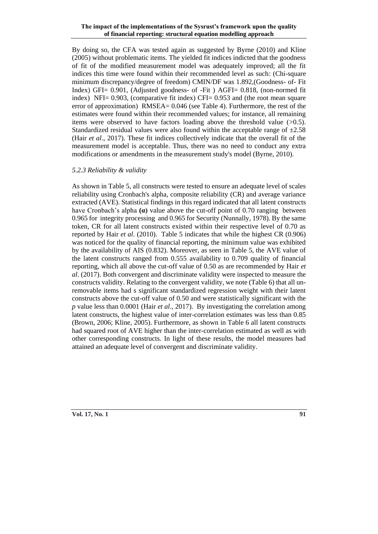By doing so, the CFA was tested again as suggested by Byrne (2010) and Kline (2005) without problematic items. The yielded fit indices indicted that the goodness of fit of the modified measurement model was adequately improved; all the fit indices this time were found within their recommended level as such: (Chi-square minimum discrepancy/degree of freedom) CMIN/DF was 1.892,(Goodness- of- Fit Index) GFI= 0.901, (Adjusted goodness- of -Fit ) AGFI= 0.818, (non-normed fit index) NFI= 0.903, (comparative fit index) CFI= 0.953 and (the root mean square error of approximation) RMSEA= 0.046 (see Table 4). Furthermore, the rest of the estimates were found within their recommended values; for instance, all remaining items were observed to have factors loading above the threshold value (>0.5). Standardized residual values were also found within the acceptable range of  $\pm 2.58$ (Hair *et al*., 2017). These fit indices collectively indicate that the overall fit of the measurement model is acceptable. Thus, there was no need to conduct any extra modifications or amendments in the measurement study's model (Byrne, 2010).

#### *5.2.3 Reliability & validity*

As shown in Table 5, all constructs were tested to ensure an adequate level of scales reliability using Cronbach's alpha, composite reliability (CR) and average variance extracted (AVE). Statistical findings in this regard indicated that all latent constructs have Cronbach's alpha **(α)** value above the cut-off point of 0.70 ranging between 0.965 for integrity processing and 0.965 for Security (Nunnally, 1978). By the same token, CR for all latent constructs existed within their respective level of 0.70 as reported by Hair *et al*. (2010). Table 5 indicates that while the highest CR (0.906) was noticed for the quality of financial reporting, the minimum value was exhibited by the availability of AIS (0.832). Moreover, as seen in Table 5, the AVE value of the latent constructs ranged from 0.555 availability to 0.709 quality of financial reporting, which all above the cut-off value of 0.50 as are recommended by Hair *et al*. (2017). Both convergent and discriminate validity were inspected to measure the constructs validity. Relating to the convergent validity, we note (Table 6) that all unremovable items had s significant standardized regression weight with their latent constructs above the cut-off value of 0.50 and were statistically significant with the *p* value less than 0.0001 (Hair *et al*., 2017). By investigating the correlation among latent constructs, the highest value of inter-correlation estimates was less than 0.85 (Brown, 2006; Kline, 2005). Furthermore, as shown in Table 6 all latent constructs had squared root of AVE higher than the inter-correlation estimated as well as with other corresponding constructs. In light of these results, the model measures had attained an adequate level of convergent and discriminate validity.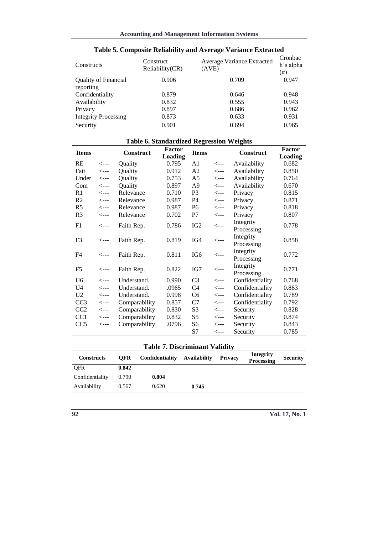| <b>Constructs</b>           | Construct<br>Reliability(CR) | Average Variance Extracted<br>(AVE) | Cronbac<br>h's alpha<br>$(\alpha)$ |
|-----------------------------|------------------------------|-------------------------------------|------------------------------------|
| Quality of Financial        | 0.906                        | 0.709                               | 0.947                              |
| reporting                   |                              |                                     |                                    |
| Confidentiality             | 0.879                        | 0.646                               | 0.948                              |
| Availability                | 0.832                        | 0.555                               | 0.943                              |
| Privacy                     | 0.897                        | 0.686                               | 0.962                              |
| <b>Integrity Processing</b> | 0.873                        | 0.633                               | 0.931                              |
| Security                    | 0.901                        | 0.694                               | 0.965                              |

|  | Table 5. Composite Reliability and Average Variance Extracted |
|--|---------------------------------------------------------------|
|--|---------------------------------------------------------------|

### **Table 6. Standardized Regression Weights**

| <b>Items</b>    |                  | <b>Construct</b> | <b>Factor</b>  | <b>Items</b>    |                  | <b>Construct</b>        | Factor  |
|-----------------|------------------|------------------|----------------|-----------------|------------------|-------------------------|---------|
|                 |                  |                  | <b>Loading</b> |                 |                  |                         | Loading |
| RE              | $\leftarrow$ --- | Quality          | 0.795          | A <sub>1</sub>  | $\leftarrow -$   | Availability            | 0.682   |
| Fait            | $\leftarrow$ --  | Quality          | 0.912          | A2              | $\leftarrow$ --- | Availability            | 0.850   |
| Under           | $\leftarrow$ --- | Quality          | 0.753          | A5              | $\leftarrow -$   | Availability            | 0.764   |
| Com             | $\leftarrow$ --- | Quality          | 0.897          | A9              | $\leftarrow$ --- | Availability            | 0.670   |
| R <sub>1</sub>  | $\leftarrow$ --- | Relevance        | 0.710          | P <sub>3</sub>  | $\leftarrow$ --- | Privacy                 | 0.815   |
| R <sub>2</sub>  | $\leftarrow$ --- | Relevance        | 0.987          | P <sub>4</sub>  | $\leftarrow$ --- | Privacy                 | 0.871   |
| R <sub>5</sub>  | $\leftarrow$ --- | Relevance        | 0.987          | P <sub>6</sub>  | $\leftarrow$ --- | Privacy                 | 0.818   |
| R <sub>3</sub>  | $\leftarrow$ --- | Relevance        | 0.702          | P7              | $\leftarrow$ --- | Privacy                 | 0.807   |
| F1              | $\leftarrow$ --- | Faith Rep.       | 0.786          | IG <sub>2</sub> | $\leftarrow$ --- | Integrity<br>Processing | 0.778   |
| F <sub>3</sub>  | $\leftarrow$ --  | Faith Rep.       | 0.819          | IG4             | $\leftarrow$ --- | Integrity<br>Processing | 0.858   |
| F4              | $\leftarrow -$   | Faith Rep.       | 0.811          | IG <sub>6</sub> | $\leftarrow$ --- | Integrity<br>Processing | 0.772   |
| F5              | $\leftarrow$ --  | Faith Rep.       | 0.822          | IG7             | $\leftarrow$ --- | Integrity<br>Processing | 0.771   |
| U <sub>6</sub>  | $\leftarrow -$   | Understand.      | 0.990          | C <sub>3</sub>  | $\leftarrow -$   | Confidentiality         | 0.768   |
| U <sub>4</sub>  | $\leftarrow$ --- | Understand.      | .0965          | C <sub>4</sub>  | $\leftarrow$ --- | Confidentiality         | 0.863   |
| U <sub>2</sub>  | $\leftarrow$ --- | Understand.      | 0.998          | C <sub>6</sub>  | $\leftarrow -$   | Confidentiality         | 0.789   |
| CC <sub>3</sub> | $\leftarrow$ --- | Comparability    | 0.857          | C7              | $\leftarrow$ --- | Confidentiality         | 0.792   |
| CC2             | $\leftarrow$ --  | Comparability    | 0.830          | S <sub>3</sub>  | $\leftarrow -$   | Security                | 0.828   |
| CC <sub>1</sub> | $\leftarrow$ --  | Comparability    | 0.832          | S5              | $\leftarrow$ --- | Security                | 0.874   |
| CC <sub>5</sub> | <---             | Comparability    | .0796          | S6              | $\leftarrow -$   | Security                | 0.843   |
|                 |                  |                  |                | S7              | $\leftarrow$ --- | Security                | 0.785   |

# **Table 7. Discriminant Validity**

| <b>Constructs</b> | <b>OFR</b> | Confidentiality | <b>Availability</b> | <b>Privacy</b> | <b>Integrity</b><br>Processing | <b>Security</b> |
|-------------------|------------|-----------------|---------------------|----------------|--------------------------------|-----------------|
| <b>OFR</b>        | 0.842      |                 |                     |                |                                |                 |
| Confidentiality   | 0.790      | 0.804           |                     |                |                                |                 |
| Availability      | 0.567      | 0.620           | 0.745               |                |                                |                 |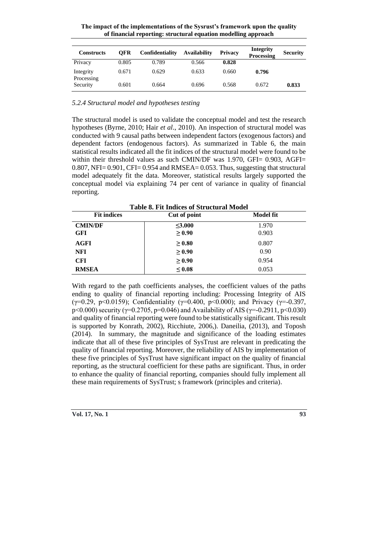**The impact of the implementations of the Sysrust's framework upon the quality of financial reporting: structural equation modelling approach**

| <b>Constructs</b>       | OFR   | Confidentiality | <b>Availability</b> | Privacy | <b>Integrity</b><br><b>Processing</b> | <b>Security</b> |
|-------------------------|-------|-----------------|---------------------|---------|---------------------------------------|-----------------|
| Privacy                 | 0.805 | 0.789           | 0.566               | 0.828   |                                       |                 |
| Integrity<br>Processing | 0.671 | 0.629           | 0.633               | 0.660   | 0.796                                 |                 |
| Security                | 0.601 | 0.664           | 0.696               | 0.568   | 0.672                                 | 0.833           |

*5.2.4 Structural model and hypotheses testing*

The structural model is used to validate the conceptual model and test the research hypotheses (Byrne, 2010; Hair *et al*., 2010). An inspection of structural model was conducted with 9 causal paths between independent factors (exogenous factors) and dependent factors (endogenous factors). As summarized in Table 6, the main statistical results indicated all the fit indices of the structural model were found to be within their threshold values as such CMIN/DF was 1.970, GFI= 0.903, AGFI=  $0.807$ , NFI=  $0.901$ , CFI=  $0.954$  and RMSEA=  $0.053$ . Thus, suggesting that structural model adequately fit the data. Moreover, statistical results largely supported the conceptual model via explaining 74 per cent of variance in quality of financial reporting.

| <b>Fit indices</b> | Table 8. Fit Indices of Structural Model<br>Cut of point | <b>Model fit</b> |
|--------------------|----------------------------------------------------------|------------------|
| <b>CMIN/DF</b>     | $<$ 3.000                                                | 1.970            |
| <b>GFI</b>         | > 0.90                                                   | 0.903            |
| <b>AGFI</b>        | $\geq 0.80$                                              | 0.807            |
| <b>NFI</b>         | $\geq 0.90$                                              | 0.90             |
| <b>CFI</b>         | $\geq 0.90$                                              | 0.954            |
| <b>RMSEA</b>       | $\leq 0.08$                                              | 0.053            |

**Table 8. Fit Indices of Structural Model**

With regard to the path coefficients analyses, the coefficient values of the paths ending to quality of financial reporting including: Processing Integrity of AIS ( $\gamma$ =0.29, p<0.0159); Confidentiality ( $\gamma$ =0.400, p<0.000); and Privacy ( $\gamma$ =-0.397, p<0.000) security ( $\gamma$ =0.2705, p=0.046) and Availability of AIS ( $\gamma$ =-0.2911, p<0.030) and quality of financial reporting were found to be statistically significant. This result is supported by Konrath, 2002), Ricchiute, 2006,). Daneilia, (2013), and Toposh (2014). In summary, the magnitude and significance of the loading estimates indicate that all of these five principles of SysTrust are relevant in predicating the quality of financial reporting. Moreover, the reliability of AIS by implementation of these five principles of SysTrust have significant impact on the quality of financial reporting, as the structural coefficient for these paths are significant. Thus, in order to enhance the quality of financial reporting, companies should fully implement all these main requirements of SysTrust; s framework (principles and criteria).

| Vol. 17, No. 1 |  |
|----------------|--|
|                |  |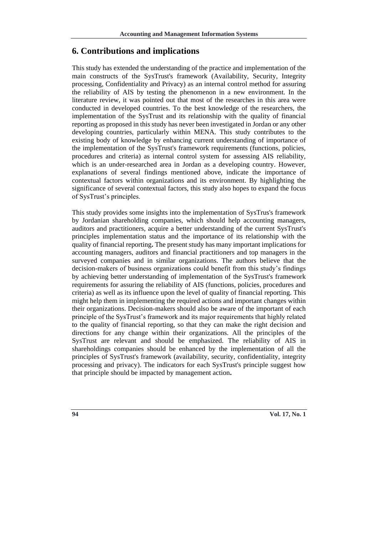#### **6. Contributions and implications**

This study has extended the understanding of the practice and implementation of the main constructs of the SysTrust's framework (Availability, Security, Integrity processing, Confidentiality and Privacy) as an internal control method for assuring the reliability of AIS by testing the phenomenon in a new environment. In the literature review, it was pointed out that most of the researches in this area were conducted in developed countries. To the best knowledge of the researchers, the implementation of the SysTrust and its relationship with the quality of financial reporting as proposed in this study has never been investigated in Jordan or any other developing countries, particularly within MENA. This study contributes to the existing body of knowledge by enhancing current understanding of importance of the implementation of the SysTrust's framework requirements (functions, policies, procedures and criteria) as internal control system for assessing AIS reliability, which is an under-researched area in Jordan as a developing country. However, explanations of several findings mentioned above, indicate the importance of contextual factors within organizations and its environment. By highlighting the significance of several contextual factors, this study also hopes to expand the focus of SysTrust's principles.

This study provides some insights into the implementation of SysTrus's framework by Jordanian shareholding companies, which should help accounting managers, auditors and practitioners, acquire a better understanding of the current SysTrust's principles implementation status and the importance of its relationship with the quality of financial reporting**.** The present study has many important implications for accounting managers, auditors and financial practitioners and top managers in the surveyed companies and in similar organizations. The authors believe that the decision-makers of business organizations could benefit from this study's findings by achieving better understanding of implementation of the SysTrust's framework requirements for assuring the reliability of AIS (functions, policies, procedures and criteria) as well as its influence upon the level of quality of financial reporting. This might help them in implementing the required actions and important changes within their organizations. Decision-makers should also be aware of the important of each principle of the SysTrust's framework and its major requirements that highly related to the quality of financial reporting, so that they can make the right decision and directions for any change within their organizations. All the principles of the SysTrust are relevant and should be emphasized. The reliability of AIS in shareholdings companies should be enhanced by the implementation of all the principles of SysTrust's framework (availability, security, confidentiality, integrity processing and privacy). The indicators for each SysTrust's principle suggest how that principle should be impacted by management action**.**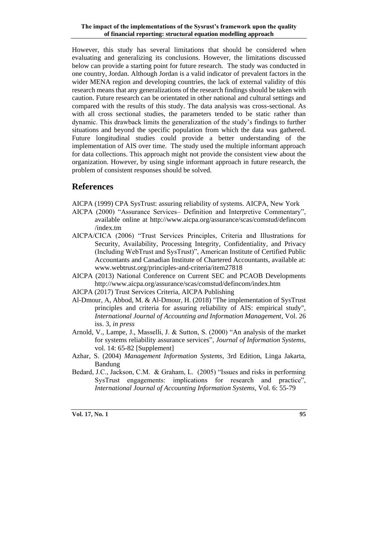However, this study has several limitations that should be considered when evaluating and generalizing its conclusions. However, the limitations discussed below can provide a starting point for future research. The study was conducted in one country, Jordan. Although Jordan is a valid indicator of prevalent factors in the wider MENA region and developing countries, the lack of external validity of this research means that any generalizations of the research findings should be taken with caution. Future research can be orientated in other national and cultural settings and compared with the results of this study. The data analysis was cross-sectional. As with all cross sectional studies, the parameters tended to be static rather than dynamic. This drawback limits the generalization of the study's findings to further situations and beyond the specific population from which the data was gathered. Future longitudinal studies could provide a better understanding of the implementation of AIS over time. The study used the multiple informant approach for data collections. This approach might not provide the consistent view about the organization. However, by using single informant approach in future research, the problem of consistent responses should be solved.

# **References**

- AICPA (1999) CPA SysTrust: assuring reliability of systems. AICPA, New York
- AICPA (2000) "Assurance Services– Definition and Interpretive Commentary", available online at [http://www.aicpa.org/assurance/scas/comstud/defincom](http://www.aicpa.org/assurance/scas/comstud/defincom/index.tm) [/index.tm](http://www.aicpa.org/assurance/scas/comstud/defincom/index.tm)
- AICPA/CICA (2006) "Trust Services Principles, Criteria and Illustrations for Security, Availability, Processing Integrity, Confidentiality, and Privacy (Including WebTrust and SysTrust)", American Institute of Certified Public Accountants and Canadian Institute of Chartered Accountants, available at: [www.webtrust.org/principles-and-criteria/item27818](http://www.webtrust.org/principles-and-criteria/item27818)
- AICPA (2013) National Conference on Current SEC and PCAOB Developments <http://www.aicpa.org/assurance/scas/comstud/defincom/index.htm>
- AICPA (2017) Trust Services Criteria, AICPA Publishing
- Al-Dmour, A, Abbod, M. & Al-Dmour, H. (2018) "The implementation of SysTrust principles and criteria for assuring reliability of AIS: empirical study", *International Journal of Accounting and Information Management*, Vol. 26 iss. 3, *in press*
- Arnold, V., Lampe, J., Masselli, J. & Sutton, S. (2000) "An analysis of the market for systems reliability assurance services", *Journal of Information Systems*, vol. 14: 65-82 [Supplement]
- Azhar, S. (2004) *Management Information Systems*, 3rd Edition, Linga Jakarta, Bandung
- Bedard, J.C., Jackson, C.M. & Graham, L. (2005) "Issues and risks in performing SysTrust engagements: implications for research and practice", *International Journal of Accounting Information Systems*, Vol. 6: 55-79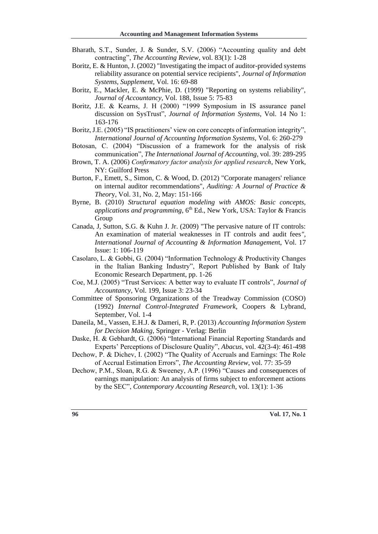- Bharath, S.T., Sunder, J. & Sunder, S.V. (2006) "Accounting quality and debt contracting", *The Accounting Review*, vol. 83(1): 1-28
- Boritz, E. & Hunton, J. (2002) "Investigating the impact of auditor-provided systems reliability assurance on potential service recipients", *Journal of Information Systems, Supplement*, Vol. 16: 69-88
- Boritz, E., Mackler, E. & McPhie, D. (1999) "Reporting on systems reliability", *Journal of Accountancy*, Vol. 188, Issue 5: 75-83
- Boritz, J.E. & Kearns, J. H (2000) "1999 Symposium in IS assurance panel discussion on SysTrust", *Journal of Information Systems*, Vol. 14 No 1: 163-176
- Boritz, J.E. (2005) "IS practitioners' view on core concepts of information integrity", *International Journal of Accounting Information Systems*, Vol. 6: 260-279
- Botosan, C. (2004) "Discussion of a framework for the analysis of risk communication", *The International Journal of Accounting*, vol. 39: 289-295
- Brown, T. A. (2006) *Confirmatory factor analysis for applied research*, New York, NY: Guilford Press
- Burton, F., Emett, S., Simon, C. & Wood, D. (2012) "Corporate managers' reliance on internal auditor recommendations", *Auditing: A Journal of Practice & Theor*y, Vol. 31, No. 2, May: 151-166
- Byrne, B. (2010) *Structural equation modeling with AMOS: Basic concepts, applications and programming*,  $6<sup>th</sup>$  Ed., New York, USA: Taylor & Francis Group
- Canada, J, Sutton, S.G. & Kuhn J. Jr. (2009) "The pervasive nature of IT controls: An examination of material weaknesses in IT controls and audit fees*", International Journal of Accounting & Information Managemen*t, Vol. 17 Issue: 1: 106-119
- Casolaro, L. & Gobbi, G. (2004) "Information Technology & Productivity Changes in the Italian Banking Industry", Report Published by Bank of Italy Economic Research Department, pp. 1-26
- Coe, M.J. (2005) "Trust Services: A better way to evaluate IT controls", *Journal of Accountancy*, Vol. 199, Issue 3: 23-34
- Committee of Sponsoring Organizations of the Treadway Commission (COSO) (1992) *Internal Control-Integrated Framework*, Coopers & Lybrand, September, Vol. 1-4
- Daneila, M., Vassen, E.H.J. & Dameri, R, P. (2013) *Accounting Information System for Decision Making*, Springer - Verlag: Berlin
- Daske, H. & Gebhardt, G. (2006) "International Financial Reporting Standards and Experts' Perceptions of Disclosure Quality", *Abacus*, vol. 42(3-4): 461-498
- Dechow, P. & Dichev, I. (2002) "The Quality of Accruals and Earnings: The Role of Accrual Estimation Errors", *The Accounting Review*, vol. 77: 35-59
- Dechow, P.M., Sloan, R.G. & Sweeney, A.P. (1996) "Causes and consequences of earnings manipulation: An analysis of firms subject to enforcement actions by the SEC", *Contemporary Accounting Research*, vol. 13(1): 1-36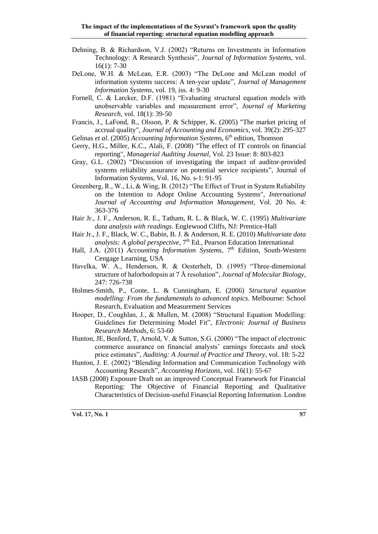- Dehning, B. & Richardson, V.J. (2002) "Returns on Investments in Information Technology: A Research Synthesis", *Journal of Information Systems,* vol. 16(1): 7-30
- DeLone, W.H. & McLean, E.R. (2003) "The DeLone and McLean model of information systems success: A ten-year update", *Journal of Management Information Systems*, vol. 19, iss. 4: 9-30
- Fornell, C. & Larcker, D.F. (1981) "Evaluating structural equation models with unobservable variables and measurement error", *Journal of Marketing Research*, vol. 18(1): 39-50
- Francis, J., LaFond, R., Olsson, P. & Schipper, K. (2005) "The market pricing of accrual quality", *Journal of Accounting and Economics*, vol. 39(2): 295-327
- Gelinas *et al.* (2005) *Accounting Information Systems*, 6<sup>th</sup> edition, Thomson
- Gerry, H.G., Miller, K.C., Alali, F. (2008) "The effect of IT controls on financial reporting", *Managerial Auditing Journal*, Vol. 23 Issue: 8: 803-823
- Gray, G.L. (2002) "Discussion of investigating the impact of auditor-provided systems reliability assurance on potential service recipients", Journal of Information Systems, Vol. 16, No. s-1: 91-95
- Greenberg, R., W., Li, & Wing, B. (2012) "The Effect of Trust in System Reliability on the Intention to Adopt Online Accounting Systems", *International Journal of Accounting and Information Management*, Vol. 20 No. 4: 363-376
- Hair Jr., J. F., Anderson, R. E., Tatham, R. L. & Black, W. C. (1995) *Multivariate data analysis with readings*. Englewood Cliffs, NJ: Prentice-Hall
- Hair Jr., J. F., Black, W. C., Babin, B. J. & Anderson, R. E. (2010) *Multivariate data analysis: A global perspective*, 7 th Ed., Pearson Education International
- Hall, J.A. (2011) *Accounting Information Systems*, 7<sup>th</sup> Edition, South-Western Cengage Learning, USA
- Havelka, W. A., Henderson, R. & Oesterhelt, D. (1995) "Three-dimensional structure of halorhodopsin at 7 Å resolution", *Journal of Molecular Biology*, 247: 726-738
- Holmes-Smith, P., Coote, L. & Cunningham, E. (2006) *Structural equation modelling: From the fundamentals to advanced topics*. Melbourne: School Research, Evaluation and Measurement Services
- Hooper, D., Coughlan, J., & Mullen, M. (2008) "Structural Equation Modelling: Guidelines for Determining Model Fit", *Electronic Journal of Business Research Methods*, 6: 53-60
- Hunton, JE, Benford, T, Arnold, V. & Sutton, S.G. (2000) "The impact of electronic commerce assurance on financial analysts' earnings forecasts and stock price estimates", *Auditing: A Journal of Practice and Theory*, vol. 18: 5-22
- Hunton, J. E. (2002) "Blending Information and Communication Technology with Accounting Research", *Accounting Horizons*, vol. 16(1): 55-67
- IASB (2008) Exposure Draft on an improved Conceptual Framework for Financial Reporting: The Objective of Financial Reporting and Qualitative Characteristics of Decision-useful Financial Reporting Information. London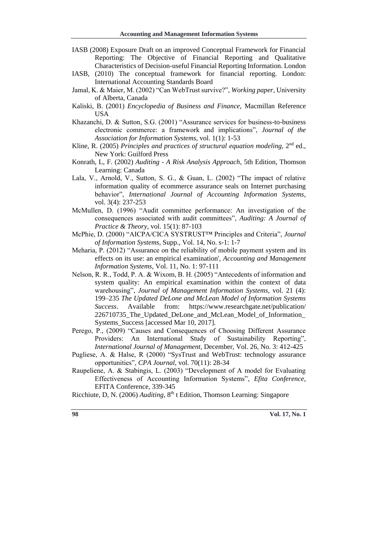- IASB (2008) Exposure Draft on an improved Conceptual Framework for Financial Reporting: The Objective of Financial Reporting and Qualitative Characteristics of Decision-useful Financial Reporting Information. London
- IASB, (2010) The conceptual framework for financial reporting. London: International Accounting Standards Board
- Jamal, K. & Maier, M. (2002) "Can WebTrust survive?", *Working paper*, University of Alberta, Canada
- Kaliski, B. (2001) *Encyclopedia of Business and Finance,* Macmillan Reference USA
- Khazanchi, D. & Sutton, S.G. (2001) "Assurance services for business-to-business electronic commerce: a framework and implications", *Journal of the Association for Information Systems*, vol. 1(1): 1-53
- Kline, R. (2005) *Principles and practices of structural equation modeling*,  $2^{nd}$  ed., New York: Guilford Press
- Konrath, L, F. (2002) *Auditing - A Risk Analysis Approach*, 5th Edition, Thomson Learning: Canada
- Lala, V., Arnold, V., Sutton, S. G., & Guan, L. (2002) "The impact of relative information quality of ecommerce assurance seals on Internet purchasing behavior", *International Journal of Accounting Information Systems*, vol. 3(4): 237-253
- McMullen, D. (1996) "Audit committee performance: An investigation of the consequences associated with audit committees", *Auditing: A Journal of Practice & Theory*, vol. 15(1): 87-103
- McPhie, D. (2000) "AICPA/CICA SYSTRUST™ Principles and Criteria", *Journal of Information Systems*, Supp., Vol. 14, No. s-1: 1-7
- Meharia, P. (2012) "Assurance on the reliability of mobile payment system and its effects on its use: an empirical examination', *Accounting and Management Information Systems*, Vol. 11, No. 1: 97-111
- Nelson, R. R., Todd, P. A. & Wixom, B. H. (2005) "Antecedents of information and system quality: An empirical examination within the context of data warehousing", *Journal of Management Information Systems*, vol. 21 (4): 199–235 *The Updated DeLone and McLean Model of Information Systems Success*. Available from: [https://www.researchgate.net/publication/](https://www.researchgate.net/publication/226710735_The_Updated_DeLone_and_McLean_Model_of_Information_Systems_Success) [226710735\\_The\\_Updated\\_DeLone\\_and\\_McLean\\_Model\\_of\\_Information\\_](https://www.researchgate.net/publication/226710735_The_Updated_DeLone_and_McLean_Model_of_Information_Systems_Success) [Systems\\_Success](https://www.researchgate.net/publication/226710735_The_Updated_DeLone_and_McLean_Model_of_Information_Systems_Success) [accessed Mar 10, 2017].
- Perego, P., (2009) "Causes and Consequences of Choosing Different Assurance Providers: An International Study of Sustainability Reporting", *International Journal of Management*, December, Vol. 26, No. 3: 412-425
- Pugliese, A. & Halse, R (2000) "SysTrust and WebTrust: technology assurance opportunities", *CPA Journal*, vol. 70(11): 28-34
- Raupeliene, A. & Stabingis, L. (2003) "Development of A model for Evaluating Effectiveness of Accounting Information Systems", *Efita Conference*, EFITA Conference, 339-345

Ricchiute, D, N. (2006) *Auditing*, 8<sup>th</sup> t Edition, Thomson Learning: Singapore